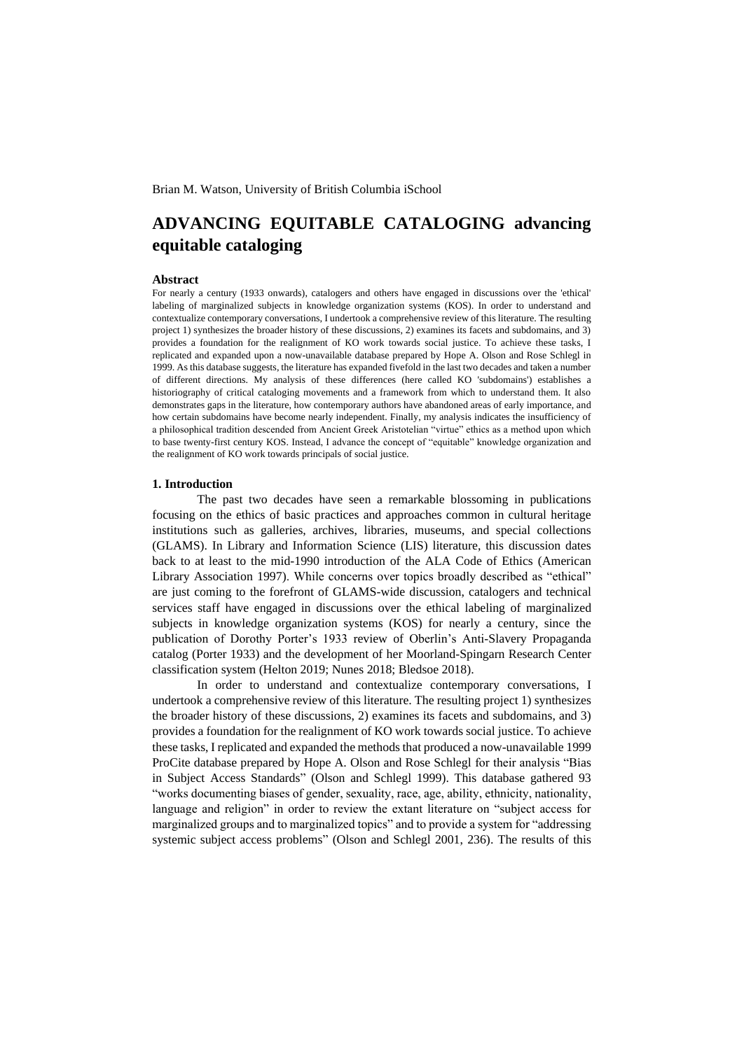# Brian M. Watson, University of British Columbia iSchool

# **ADVANCING EQUITABLE CATALOGING advancing equitable cataloging**

#### **Abstract**

For nearly a century (1933 onwards), catalogers and others have engaged in discussions over the 'ethical' labeling of marginalized subjects in knowledge organization systems (KOS). In order to understand and contextualize contemporary conversations, I undertook a comprehensive review of this literature. The resulting project 1) synthesizes the broader history of these discussions, 2) examines its facets and subdomains, and 3) provides a foundation for the realignment of KO work towards social justice. To achieve these tasks, I replicated and expanded upon a now-unavailable database prepared by Hope A. Olson and Rose Schlegl in 1999. As this database suggests, the literature has expanded fivefold in the last two decades and taken a number of different directions. My analysis of these differences (here called KO 'subdomains') establishes a historiography of critical cataloging movements and a framework from which to understand them. It also demonstrates gaps in the literature, how contemporary authors have abandoned areas of early importance, and how certain subdomains have become nearly independent. Finally, my analysis indicates the insufficiency of a philosophical tradition descended from Ancient Greek Aristotelian "virtue" ethics as a method upon which to base twenty-first century KOS. Instead, I advance the concept of "equitable" knowledge organization and the realignment of KO work towards principals of social justice.

## **1. Introduction**

The past two decades have seen a remarkable blossoming in publications focusing on the ethics of basic practices and approaches common in cultural heritage institutions such as galleries, archives, libraries, museums, and special collections (GLAMS). In Library and Information Science (LIS) literature, this discussion dates back to at least to the mid-1990 introduction of the ALA Code of Ethics (American Library Association 1997). While concerns over topics broadly described as "ethical" are just coming to the forefront of GLAMS-wide discussion, catalogers and technical services staff have engaged in discussions over the ethical labeling of marginalized subjects in knowledge organization systems (KOS) for nearly a century, since the publication of Dorothy Porter's 1933 review of Oberlin's Anti-Slavery Propaganda catalog (Porter 1933) and the development of her Moorland-Spingarn Research Center classification system (Helton 2019; Nunes 2018; Bledsoe 2018).

In order to understand and contextualize contemporary conversations, I undertook a comprehensive review of this literature. The resulting project 1) synthesizes the broader history of these discussions, 2) examines its facets and subdomains, and 3) provides a foundation for the realignment of KO work towards social justice. To achieve these tasks, I replicated and expanded the methods that produced a now-unavailable 1999 ProCite database prepared by Hope A. Olson and Rose Schlegl for their analysis "Bias in Subject Access Standards" (Olson and Schlegl 1999). This database gathered 93 "works documenting biases of gender, sexuality, race, age, ability, ethnicity, nationality, language and religion" in order to review the extant literature on "subject access for marginalized groups and to marginalized topics" and to provide a system for "addressing systemic subject access problems" (Olson and Schlegl 2001, 236). The results of this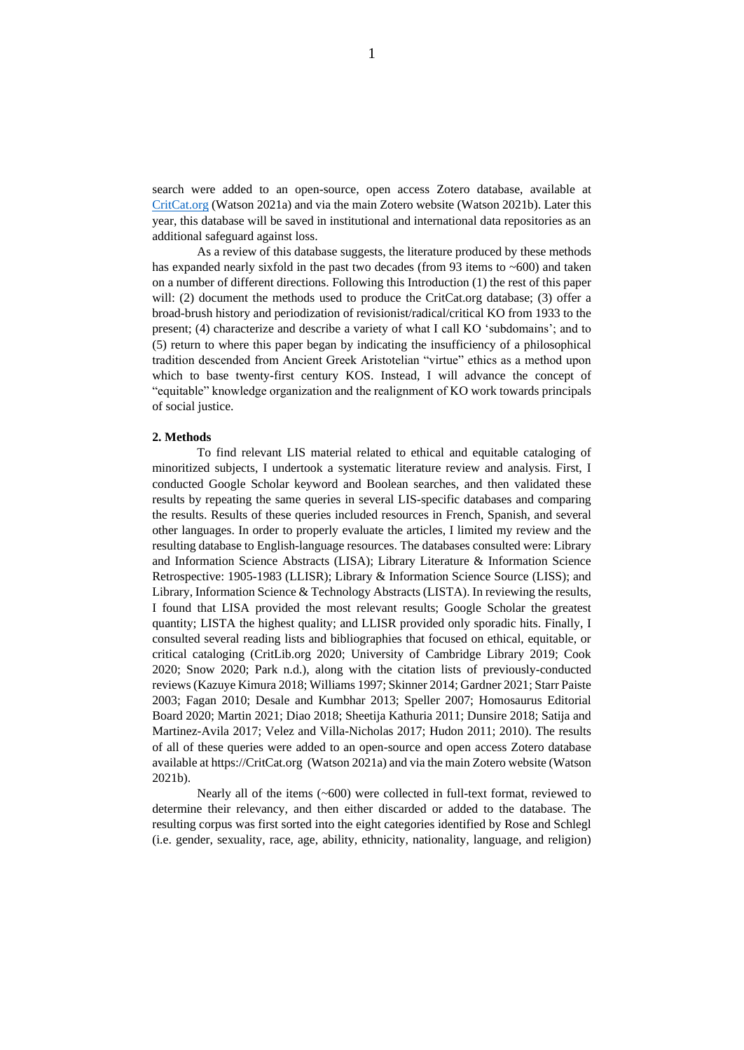search were added to an open-source, open access Zotero database, available at [CritCat.org](https://critcat.org/) (Watson 2021a) and via the main Zotero website (Watson 2021b). Later this year, this database will be saved in institutional and international data repositories as an additional safeguard against loss.

As a review of this database suggests, the literature produced by these methods has expanded nearly sixfold in the past two decades (from 93 items to ~600) and taken on a number of different directions. Following this Introduction (1) the rest of this paper will: (2) document the methods used to produce the CritCat.org database; (3) offer a broad-brush history and periodization of revisionist/radical/critical KO from 1933 to the present; (4) characterize and describe a variety of what I call KO 'subdomains'; and to (5) return to where this paper began by indicating the insufficiency of a philosophical tradition descended from Ancient Greek Aristotelian "virtue" ethics as a method upon which to base twenty-first century KOS. Instead, I will advance the concept of "equitable" knowledge organization and the realignment of KO work towards principals of social justice.

## **2. Methods**

To find relevant LIS material related to ethical and equitable cataloging of minoritized subjects, I undertook a systematic literature review and analysis. First, I conducted Google Scholar keyword and Boolean searches, and then validated these results by repeating the same queries in several LIS-specific databases and comparing the results. Results of these queries included resources in French, Spanish, and several other languages. In order to properly evaluate the articles, I limited my review and the resulting database to English-language resources. The databases consulted were: Library and Information Science Abstracts (LISA); Library Literature & Information Science Retrospective: 1905-1983 (LLISR); Library & Information Science Source (LISS); and Library, Information Science & Technology Abstracts (LISTA). In reviewing the results, I found that LISA provided the most relevant results; Google Scholar the greatest quantity; LISTA the highest quality; and LLISR provided only sporadic hits. Finally, I consulted several reading lists and bibliographies that focused on ethical, equitable, or critical cataloging (CritLib.org 2020; University of Cambridge Library 2019; Cook 2020; Snow 2020; Park n.d.), along with the citation lists of previously-conducted reviews (Kazuye Kimura 2018; Williams 1997; Skinner 2014; Gardner 2021; Starr Paiste 2003; Fagan 2010; Desale and Kumbhar 2013; Speller 2007; Homosaurus Editorial Board 2020; Martin 2021; Diao 2018; Sheetija Kathuria 2011; Dunsire 2018; Satija and Martinez-Avila 2017; Velez and Villa-Nicholas 2017; Hudon 2011; 2010). The results of all of these queries were added to an open-source and open access Zotero database available at https://CritCat.org (Watson 2021a) and via the main Zotero website (Watson 2021b).

Nearly all of the items (~600) were collected in full-text format, reviewed to determine their relevancy, and then either discarded or added to the database. The resulting corpus was first sorted into the eight categories identified by Rose and Schlegl (i.e. gender, sexuality, race, age, ability, ethnicity, nationality, language, and religion)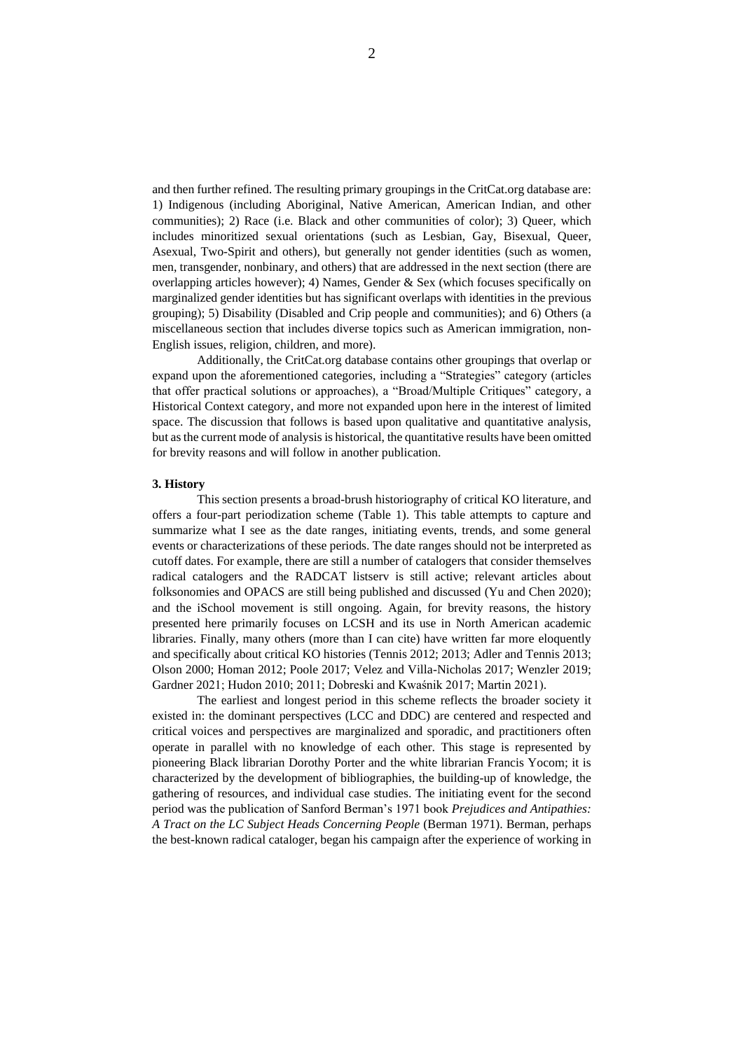and then further refined. The resulting primary groupings in the CritCat.org database are: 1) Indigenous (including Aboriginal, Native American, American Indian, and other communities); 2) Race (i.e. Black and other communities of color); 3) Queer, which includes minoritized sexual orientations (such as Lesbian, Gay, Bisexual, Queer, Asexual, Two-Spirit and others), but generally not gender identities (such as women, men, transgender, nonbinary, and others) that are addressed in the next section (there are overlapping articles however); 4) Names, Gender & Sex (which focuses specifically on marginalized gender identities but has significant overlaps with identities in the previous grouping); 5) Disability (Disabled and Crip people and communities); and 6) Others (a miscellaneous section that includes diverse topics such as American immigration, non-English issues, religion, children, and more).

Additionally, the CritCat.org database contains other groupings that overlap or expand upon the aforementioned categories, including a "Strategies" category (articles that offer practical solutions or approaches), a "Broad/Multiple Critiques" category, a Historical Context category, and more not expanded upon here in the interest of limited space. The discussion that follows is based upon qualitative and quantitative analysis, but as the current mode of analysis is historical, the quantitative results have been omitted for brevity reasons and will follow in another publication.

## **3. History**

This section presents a broad-brush historiography of critical KO literature, and offers a four-part periodization scheme (Table 1). This table attempts to capture and summarize what I see as the date ranges, initiating events, trends, and some general events or characterizations of these periods. The date ranges should not be interpreted as cutoff dates. For example, there are still a number of catalogers that consider themselves radical catalogers and the RADCAT listserv is still active; relevant articles about folksonomies and OPACS are still being published and discussed (Yu and Chen 2020); and the iSchool movement is still ongoing. Again, for brevity reasons, the history presented here primarily focuses on LCSH and its use in North American academic libraries. Finally, many others (more than I can cite) have written far more eloquently and specifically about critical KO histories (Tennis 2012; 2013; Adler and Tennis 2013; Olson 2000; Homan 2012; Poole 2017; Velez and Villa-Nicholas 2017; Wenzler 2019; Gardner 2021; Hudon 2010; 2011; Dobreski and Kwaśnik 2017; Martin 2021).

The earliest and longest period in this scheme reflects the broader society it existed in: the dominant perspectives (LCC and DDC) are centered and respected and critical voices and perspectives are marginalized and sporadic, and practitioners often operate in parallel with no knowledge of each other. This stage is represented by pioneering Black librarian Dorothy Porter and the white librarian Francis Yocom; it is characterized by the development of bibliographies, the building-up of knowledge, the gathering of resources, and individual case studies. The initiating event for the second period was the publication of Sanford Berman's 1971 book *Prejudices and Antipathies: A Tract on the LC Subject Heads Concerning People* (Berman 1971). Berman, perhaps the best-known radical cataloger, began his campaign after the experience of working in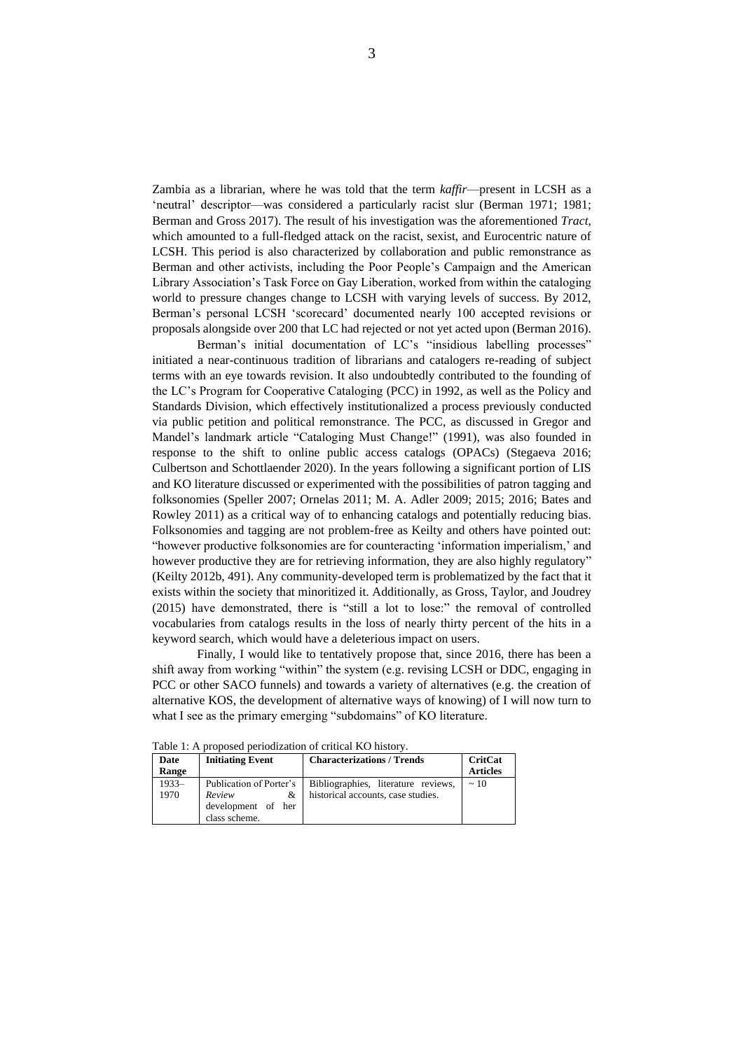Zambia as a librarian, where he was told that the term *kaffir*—present in LCSH as a 'neutral' descriptor—was considered a particularly racist slur (Berman 1971; 1981; Berman and Gross 2017). The result of his investigation was the aforementioned *Tract*, which amounted to a full-fledged attack on the racist, sexist, and Eurocentric nature of LCSH. This period is also characterized by collaboration and public remonstrance as Berman and other activists, including the Poor People's Campaign and the American Library Association's Task Force on Gay Liberation, worked from within the cataloging world to pressure changes change to LCSH with varying levels of success. By 2012, Berman's personal LCSH 'scorecard' documented nearly 100 accepted revisions or proposals alongside over 200 that LC had rejected or not yet acted upon (Berman 2016).

Berman's initial documentation of LC's "insidious labelling processes" initiated a near-continuous tradition of librarians and catalogers re-reading of subject terms with an eye towards revision. It also undoubtedly contributed to the founding of the LC's Program for Cooperative Cataloging (PCC) in 1992, as well as the Policy and Standards Division, which effectively institutionalized a process previously conducted via public petition and political remonstrance. The PCC, as discussed in Gregor and Mandel's landmark article "Cataloging Must Change!" (1991), was also founded in response to the shift to online public access catalogs (OPACs) (Stegaeva 2016; Culbertson and Schottlaender 2020). In the years following a significant portion of LIS and KO literature discussed or experimented with the possibilities of patron tagging and folksonomies (Speller 2007; Ornelas 2011; M. A. Adler 2009; 2015; 2016; Bates and Rowley 2011) as a critical way of to enhancing catalogs and potentially reducing bias. Folksonomies and tagging are not problem-free as Keilty and others have pointed out: "however productive folksonomies are for counteracting 'information imperialism,' and however productive they are for retrieving information, they are also highly regulatory" (Keilty 2012b, 491). Any community-developed term is problematized by the fact that it exists within the society that minoritized it. Additionally, as Gross, Taylor, and Joudrey (2015) have demonstrated, there is "still a lot to lose:" the removal of controlled vocabularies from catalogs results in the loss of nearly thirty percent of the hits in a keyword search, which would have a deleterious impact on users.

Finally, I would like to tentatively propose that, since 2016, there has been a shift away from working "within" the system (e.g. revising LCSH or DDC, engaging in PCC or other SACO funnels) and towards a variety of alternatives (e.g. the creation of alternative KOS, the development of alternative ways of knowing) of I will now turn to what I see as the primary emerging "subdomains" of KO literature.

| Date    | <b>Initiating Event</b> | <b>Characterizations / Trends</b>   | <b>CritCat</b>  |
|---------|-------------------------|-------------------------------------|-----------------|
| Range   |                         |                                     | <b>Articles</b> |
| $1933-$ | Publication of Porter's | Bibliographies, literature reviews, | $\sim$ 10       |
| 1970    | Review<br>&             | historical accounts, case studies.  |                 |
|         | development of her      |                                     |                 |
|         | class scheme.           |                                     |                 |

Table 1: A proposed periodization of critical KO history.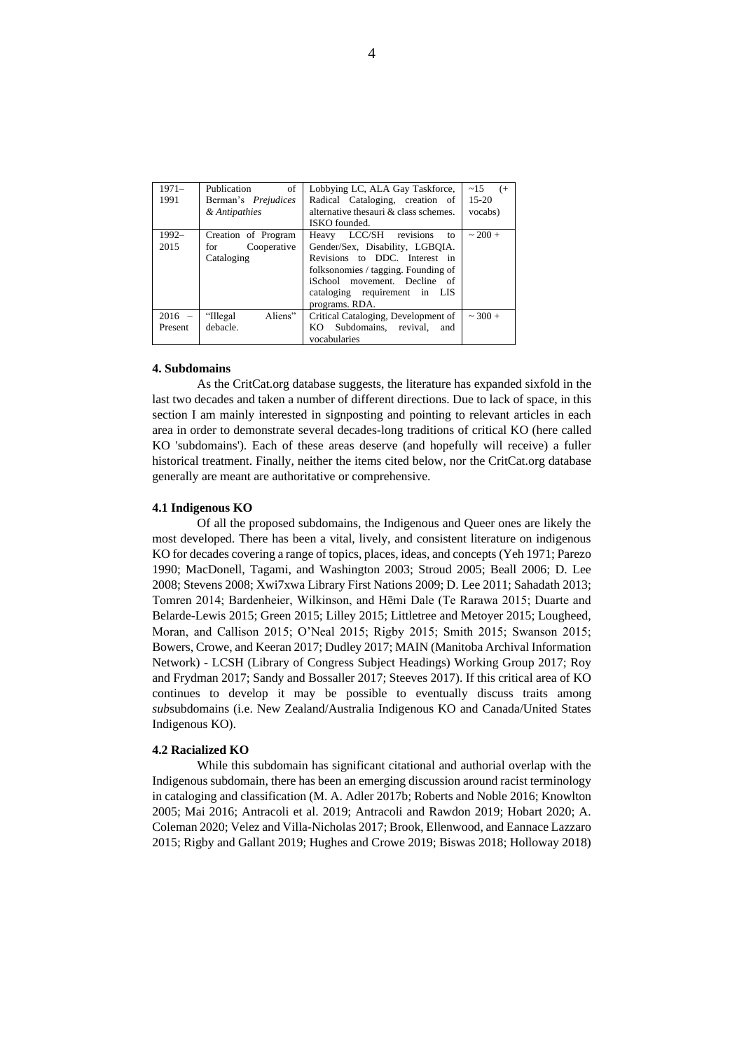| $1971-$  | of<br>Publication          | Lobbying LC, ALA Gay Taskforce,       | $\sim$ 15<br>( |
|----------|----------------------------|---------------------------------------|----------------|
| 1991     | Berman's <i>Prejudices</i> | Radical Cataloging, creation of       | $15 - 20$      |
|          | & Antipathies              | alternative thesauri & class schemes. | vocabs)        |
|          |                            | ISKO founded.                         |                |
| $1992 -$ | Creation of Program        | LCC/SH revisions<br>Heavy<br>to       | $~100+$        |
| 2015     | Cooperative<br>for         | Gender/Sex, Disability, LGBOIA.       |                |
|          | Cataloging                 | Revisions to DDC. Interest in         |                |
|          |                            | folksonomies / tagging. Founding of   |                |
|          |                            | iSchool movement. Decline<br>- of     |                |
|          |                            | cataloging requirement in LIS         |                |
|          |                            | programs. RDA.                        |                |
| $2016 -$ | Aliens"<br>"Illegal"       | Critical Cataloging, Development of   | $\sim$ 300 +   |
| Present  | debacle.                   | Subdomains, revival,<br>KO.<br>and    |                |
|          |                            | vocabularies                          |                |

## **4. Subdomains**

As the CritCat.org database suggests, the literature has expanded sixfold in the last two decades and taken a number of different directions. Due to lack of space, in this section I am mainly interested in signposting and pointing to relevant articles in each area in order to demonstrate several decades-long traditions of critical KO (here called KO 'subdomains'). Each of these areas deserve (and hopefully will receive) a fuller historical treatment. Finally, neither the items cited below, nor the CritCat.org database generally are meant are authoritative or comprehensive.

## **4.1 Indigenous KO**

Of all the proposed subdomains, the Indigenous and Queer ones are likely the most developed. There has been a vital, lively, and consistent literature on indigenous KO for decades covering a range of topics, places, ideas, and concepts (Yeh 1971; Parezo 1990; MacDonell, Tagami, and Washington 2003; Stroud 2005; Beall 2006; D. Lee 2008; Stevens 2008; Xwi7xwa Library First Nations 2009; D. Lee 2011; Sahadath 2013; Tomren 2014; Bardenheier, Wilkinson, and Hēmi Dale (Te Rarawa 2015; Duarte and Belarde-Lewis 2015; Green 2015; Lilley 2015; Littletree and Metoyer 2015; Lougheed, Moran, and Callison 2015; O'Neal 2015; Rigby 2015; Smith 2015; Swanson 2015; Bowers, Crowe, and Keeran 2017; Dudley 2017; MAIN (Manitoba Archival Information Network) - LCSH (Library of Congress Subject Headings) Working Group 2017; Roy and Frydman 2017; Sandy and Bossaller 2017; Steeves 2017). If this critical area of KO continues to develop it may be possible to eventually discuss traits among *sub*subdomains (i.e. New Zealand/Australia Indigenous KO and Canada/United States Indigenous KO).

## **4.2 Racialized KO**

While this subdomain has significant citational and authorial overlap with the Indigenous subdomain, there has been an emerging discussion around racist terminology in cataloging and classification (M. A. Adler 2017b; Roberts and Noble 2016; Knowlton 2005; Mai 2016; Antracoli et al. 2019; Antracoli and Rawdon 2019; Hobart 2020; A. Coleman 2020; Velez and Villa-Nicholas 2017; Brook, Ellenwood, and Eannace Lazzaro 2015; Rigby and Gallant 2019; Hughes and Crowe 2019; Biswas 2018; Holloway 2018)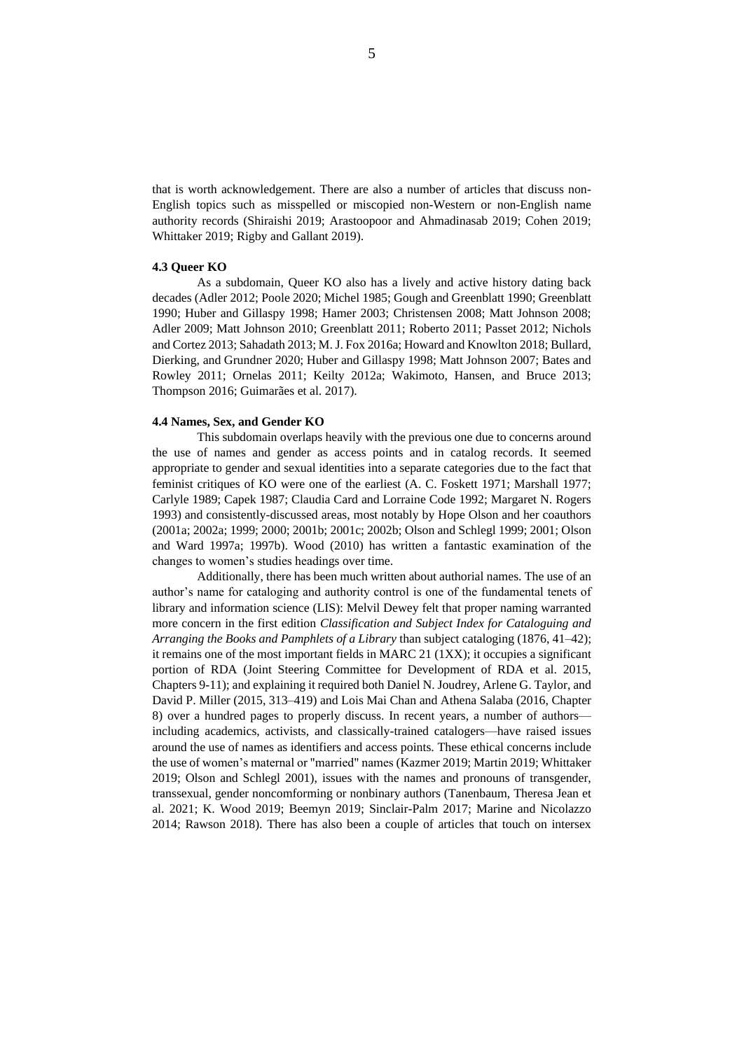that is worth acknowledgement. There are also a number of articles that discuss non-English topics such as misspelled or miscopied non-Western or non-English name authority records (Shiraishi 2019; Arastoopoor and Ahmadinasab 2019; Cohen 2019; Whittaker 2019; Rigby and Gallant 2019).

# **4.3 Queer KO**

As a subdomain, Queer KO also has a lively and active history dating back decades (Adler 2012; Poole 2020; Michel 1985; Gough and Greenblatt 1990; Greenblatt 1990; Huber and Gillaspy 1998; Hamer 2003; Christensen 2008; Matt Johnson 2008; Adler 2009; Matt Johnson 2010; Greenblatt 2011; Roberto 2011; Passet 2012; Nichols and Cortez 2013; Sahadath 2013; M. J. Fox 2016a; Howard and Knowlton 2018; Bullard, Dierking, and Grundner 2020; Huber and Gillaspy 1998; Matt Johnson 2007; Bates and Rowley 2011; Ornelas 2011; Keilty 2012a; Wakimoto, Hansen, and Bruce 2013; Thompson 2016; Guimarães et al. 2017).

#### **4.4 Names, Sex, and Gender KO**

This subdomain overlaps heavily with the previous one due to concerns around the use of names and gender as access points and in catalog records. It seemed appropriate to gender and sexual identities into a separate categories due to the fact that feminist critiques of KO were one of the earliest (A. C. Foskett 1971; Marshall 1977; Carlyle 1989; Capek 1987; Claudia Card and Lorraine Code 1992; Margaret N. Rogers 1993) and consistently-discussed areas, most notably by Hope Olson and her coauthors (2001a; 2002a; 1999; 2000; 2001b; 2001c; 2002b; Olson and Schlegl 1999; 2001; Olson and Ward 1997a; 1997b). Wood (2010) has written a fantastic examination of the changes to women's studies headings over time.

Additionally, there has been much written about authorial names. The use of an author's name for cataloging and authority control is one of the fundamental tenets of library and information science (LIS): Melvil Dewey felt that proper naming warranted more concern in the first edition *Classification and Subject Index for Cataloguing and Arranging the Books and Pamphlets of a Library* than subject cataloging (1876, 41–42); it remains one of the most important fields in MARC 21 (1XX); it occupies a significant portion of RDA (Joint Steering Committee for Development of RDA et al. 2015, Chapters 9-11); and explaining it required both Daniel N. Joudrey, Arlene G. Taylor, and David P. Miller (2015, 313–419) and Lois Mai Chan and Athena Salaba (2016, Chapter 8) over a hundred pages to properly discuss. In recent years, a number of authors including academics, activists, and classically-trained catalogers—have raised issues around the use of names as identifiers and access points. These ethical concerns include the use of women's maternal or "married" names (Kazmer 2019; Martin 2019; Whittaker 2019; Olson and Schlegl 2001), issues with the names and pronouns of transgender, transsexual, gender noncomforming or nonbinary authors (Tanenbaum, Theresa Jean et al. 2021; K. Wood 2019; Beemyn 2019; Sinclair-Palm 2017; Marine and Nicolazzo 2014; Rawson 2018). There has also been a couple of articles that touch on intersex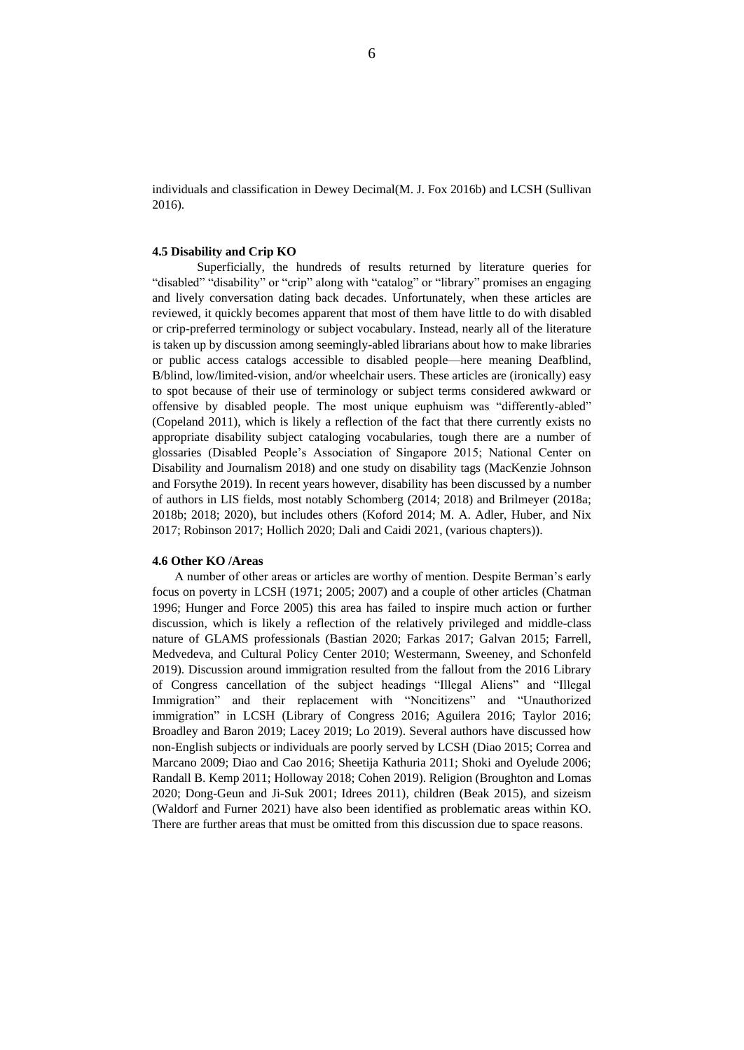individuals and classification in Dewey Decimal(M. J. Fox 2016b) and LCSH (Sullivan 2016).

## **4.5 Disability and Crip KO**

Superficially, the hundreds of results returned by literature queries for "disabled" "disability" or "crip" along with "catalog" or "library" promises an engaging and lively conversation dating back decades. Unfortunately, when these articles are reviewed, it quickly becomes apparent that most of them have little to do with disabled or crip-preferred terminology or subject vocabulary. Instead, nearly all of the literature is taken up by discussion among seemingly-abled librarians about how to make libraries or public access catalogs accessible to disabled people—here meaning Deafblind, B/blind, low/limited-vision, and/or wheelchair users. These articles are (ironically) easy to spot because of their use of terminology or subject terms considered awkward or offensive by disabled people. The most unique euphuism was "differently-abled" (Copeland 2011), which is likely a reflection of the fact that there currently exists no appropriate disability subject cataloging vocabularies, tough there are a number of glossaries (Disabled People's Association of Singapore 2015; National Center on Disability and Journalism 2018) and one study on disability tags (MacKenzie Johnson and Forsythe 2019). In recent years however, disability has been discussed by a number of authors in LIS fields, most notably Schomberg (2014; 2018) and Brilmeyer (2018a; 2018b; 2018; 2020), but includes others (Koford 2014; M. A. Adler, Huber, and Nix 2017; Robinson 2017; Hollich 2020; Dali and Caidi 2021, (various chapters)).

## **4.6 Other KO /Areas**

A number of other areas or articles are worthy of mention. Despite Berman's early focus on poverty in LCSH (1971; 2005; 2007) and a couple of other articles (Chatman 1996; Hunger and Force 2005) this area has failed to inspire much action or further discussion, which is likely a reflection of the relatively privileged and middle-class nature of GLAMS professionals (Bastian 2020; Farkas 2017; Galvan 2015; Farrell, Medvedeva, and Cultural Policy Center 2010; Westermann, Sweeney, and Schonfeld 2019). Discussion around immigration resulted from the fallout from the 2016 Library of Congress cancellation of the subject headings "Illegal Aliens" and "Illegal Immigration" and their replacement with "Noncitizens" and "Unauthorized immigration" in LCSH (Library of Congress 2016; Aguilera 2016; Taylor 2016; Broadley and Baron 2019; Lacey 2019; Lo 2019). Several authors have discussed how non-English subjects or individuals are poorly served by LCSH (Diao 2015; Correa and Marcano 2009; Diao and Cao 2016; Sheetija Kathuria 2011; Shoki and Oyelude 2006; Randall B. Kemp 2011; Holloway 2018; Cohen 2019). Religion (Broughton and Lomas 2020; Dong-Geun and Ji-Suk 2001; Idrees 2011), children (Beak 2015), and sizeism (Waldorf and Furner 2021) have also been identified as problematic areas within KO. There are further areas that must be omitted from this discussion due to space reasons.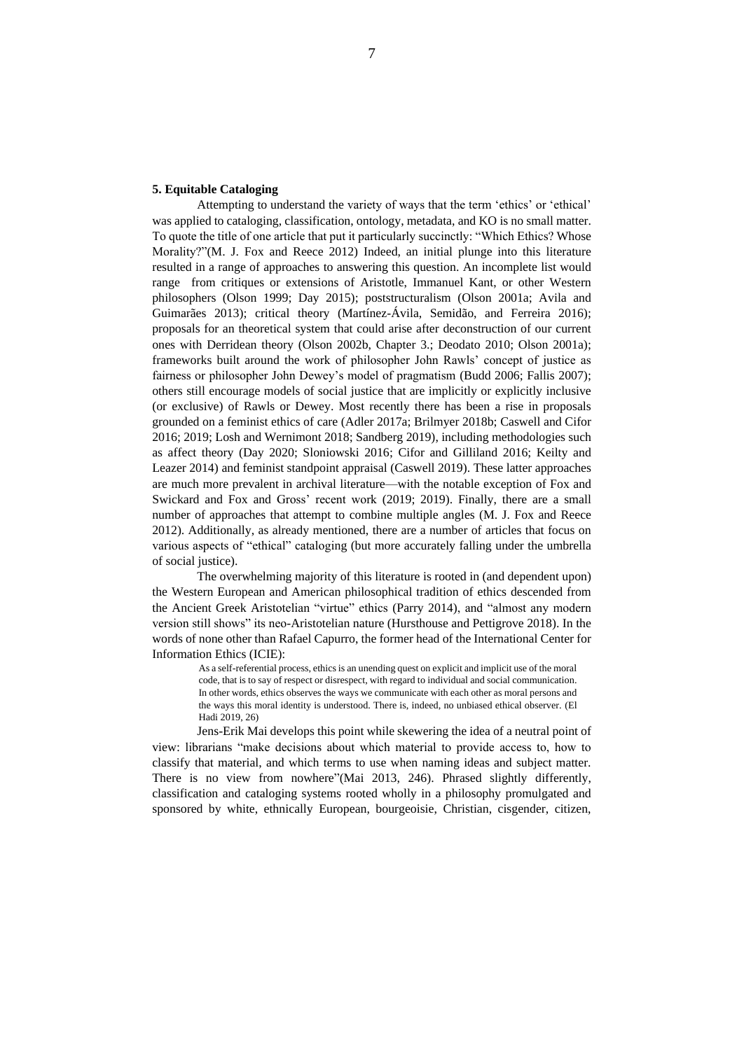# **5. Equitable Cataloging**

Attempting to understand the variety of ways that the term 'ethics' or 'ethical' was applied to cataloging, classification, ontology, metadata, and KO is no small matter. To quote the title of one article that put it particularly succinctly: "Which Ethics? Whose Morality?"(M. J. Fox and Reece 2012) Indeed, an initial plunge into this literature resulted in a range of approaches to answering this question. An incomplete list would range from critiques or extensions of Aristotle, Immanuel Kant, or other Western philosophers (Olson 1999; Day 2015); poststructuralism (Olson 2001a; Avila and Guimarães 2013); critical theory (Martínez-Ávila, Semidão, and Ferreira 2016); proposals for an theoretical system that could arise after deconstruction of our current ones with Derridean theory (Olson 2002b, Chapter 3.; Deodato 2010; Olson 2001a); frameworks built around the work of philosopher John Rawls' concept of justice as fairness or philosopher John Dewey's model of pragmatism (Budd 2006; Fallis 2007); others still encourage models of social justice that are implicitly or explicitly inclusive (or exclusive) of Rawls or Dewey. Most recently there has been a rise in proposals grounded on a feminist ethics of care (Adler 2017a; Brilmyer 2018b; Caswell and Cifor 2016; 2019; Losh and Wernimont 2018; Sandberg 2019), including methodologies such as affect theory (Day 2020; Sloniowski 2016; Cifor and Gilliland 2016; Keilty and Leazer 2014) and feminist standpoint appraisal (Caswell 2019). These latter approaches are much more prevalent in archival literature—with the notable exception of Fox and Swickard and Fox and Gross' recent work (2019; 2019). Finally, there are a small number of approaches that attempt to combine multiple angles (M. J. Fox and Reece 2012). Additionally, as already mentioned, there are a number of articles that focus on various aspects of "ethical" cataloging (but more accurately falling under the umbrella of social justice).

The overwhelming majority of this literature is rooted in (and dependent upon) the Western European and American philosophical tradition of ethics descended from the Ancient Greek Aristotelian "virtue" ethics (Parry 2014), and "almost any modern version still shows" its neo-Aristotelian nature (Hursthouse and Pettigrove 2018). In the words of none other than Rafael Capurro, the former head of the International Center for Information Ethics (ICIE):

> As a self-referential process, ethics is an unending quest on explicit and implicit use of the moral code, that is to say of respect or disrespect, with regard to individual and social communication. In other words, ethics observes the ways we communicate with each other as moral persons and the ways this moral identity is understood. There is, indeed, no unbiased ethical observer. (El Hadi 2019, 26)

Jens-Erik Mai develops this point while skewering the idea of a neutral point of view: librarians "make decisions about which material to provide access to, how to classify that material, and which terms to use when naming ideas and subject matter. There is no view from nowhere"(Mai 2013, 246). Phrased slightly differently, classification and cataloging systems rooted wholly in a philosophy promulgated and sponsored by white, ethnically European, bourgeoisie, Christian, cisgender, citizen,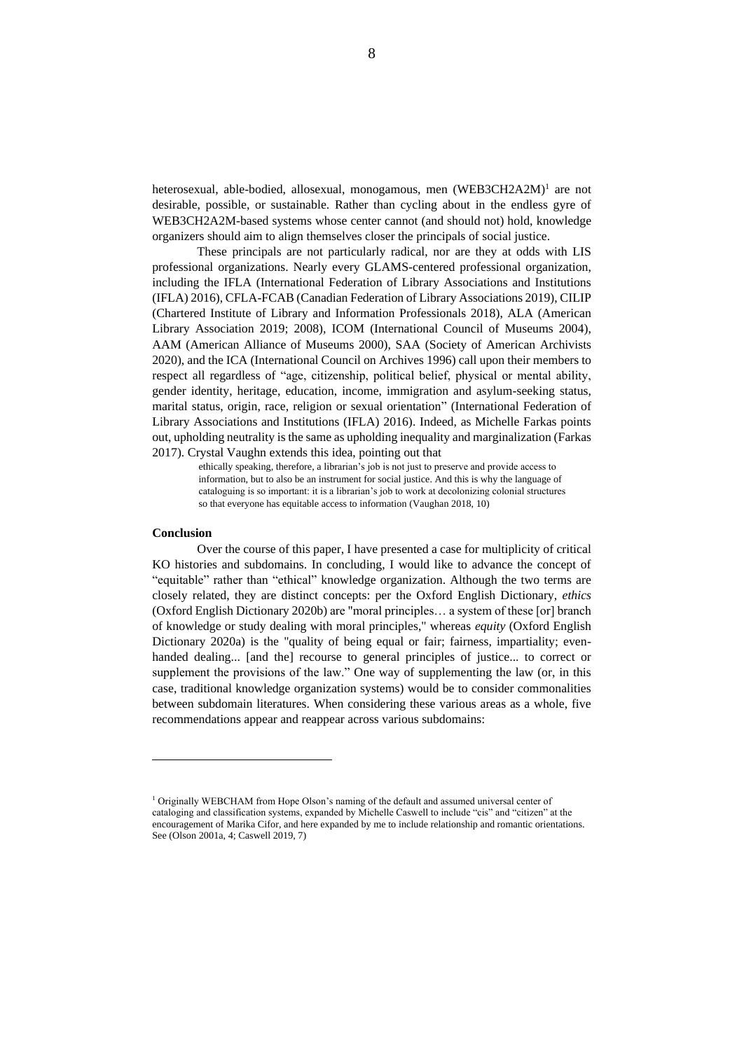heterosexual, able-bodied, allosexual, monogamous, men (WEB3CH2A2M)<sup>1</sup> are not desirable, possible, or sustainable. Rather than cycling about in the endless gyre of WEB3CH2A2M-based systems whose center cannot (and should not) hold, knowledge organizers should aim to align themselves closer the principals of social justice.

These principals are not particularly radical, nor are they at odds with LIS professional organizations. Nearly every GLAMS-centered professional organization, including the IFLA (International Federation of Library Associations and Institutions (IFLA) 2016), CFLA-FCAB (Canadian Federation of Library Associations 2019), CILIP (Chartered Institute of Library and Information Professionals 2018), ALA (American Library Association 2019; 2008), ICOM (International Council of Museums 2004), AAM (American Alliance of Museums 2000), SAA (Society of American Archivists 2020), and the ICA (International Council on Archives 1996) call upon their members to respect all regardless of "age, citizenship, political belief, physical or mental ability, gender identity, heritage, education, income, immigration and asylum-seeking status, marital status, origin, race, religion or sexual orientation" (International Federation of Library Associations and Institutions (IFLA) 2016). Indeed, as Michelle Farkas points out, upholding neutrality is the same as upholding inequality and marginalization (Farkas 2017). Crystal Vaughn extends this idea, pointing out that

ethically speaking, therefore, a librarian's job is not just to preserve and provide access to information, but to also be an instrument for social justice. And this is why the language of cataloguing is so important: it is a librarian's job to work at decolonizing colonial structures so that everyone has equitable access to information (Vaughan 2018, 10)

#### **Conclusion**

Over the course of this paper, I have presented a case for multiplicity of critical KO histories and subdomains. In concluding, I would like to advance the concept of "equitable" rather than "ethical" knowledge organization. Although the two terms are closely related, they are distinct concepts: per the Oxford English Dictionary, *ethics* (Oxford English Dictionary 2020b) are "moral principles… a system of these [or] branch of knowledge or study dealing with moral principles," whereas *equity* (Oxford English Dictionary 2020a) is the "quality of being equal or fair; fairness, impartiality; evenhanded dealing... [and the] recourse to general principles of justice... to correct or supplement the provisions of the law." One way of supplementing the law (or, in this case, traditional knowledge organization systems) would be to consider commonalities between subdomain literatures. When considering these various areas as a whole, five recommendations appear and reappear across various subdomains:

<sup>1</sup> Originally WEBCHAM from Hope Olson's naming of the default and assumed universal center of cataloging and classification systems, expanded by Michelle Caswell to include "cis" and "citizen" at the encouragement of Marika Cifor, and here expanded by me to include relationship and romantic orientations. See (Olson 2001a, 4; Caswell 2019, 7)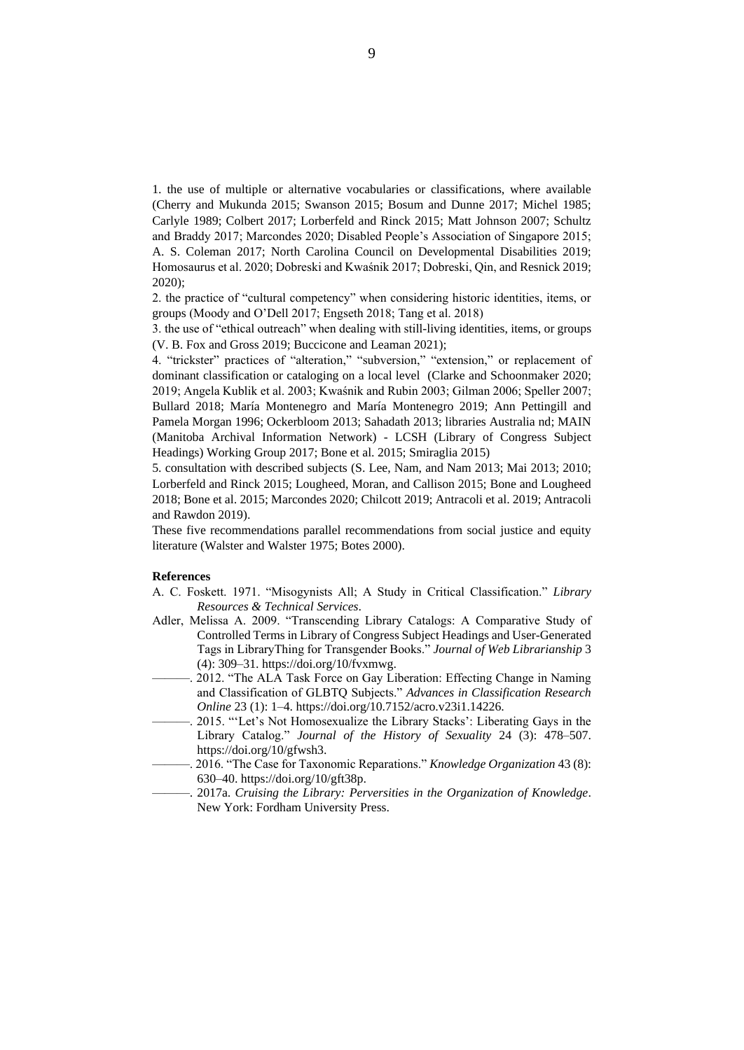1. the use of multiple or alternative vocabularies or classifications, where available (Cherry and Mukunda 2015; Swanson 2015; Bosum and Dunne 2017; Michel 1985; Carlyle 1989; Colbert 2017; Lorberfeld and Rinck 2015; Matt Johnson 2007; Schultz and Braddy 2017; Marcondes 2020; Disabled People's Association of Singapore 2015; A. S. Coleman 2017; North Carolina Council on Developmental Disabilities 2019; Homosaurus et al. 2020; Dobreski and Kwaśnik 2017; Dobreski, Qin, and Resnick 2019; 2020);

2. the practice of "cultural competency" when considering historic identities, items, or groups (Moody and O'Dell 2017; Engseth 2018; Tang et al. 2018)

3. the use of "ethical outreach" when dealing with still-living identities, items, or groups (V. B. Fox and Gross 2019; Buccicone and Leaman 2021);

4. "trickster" practices of "alteration," "subversion," "extension," or replacement of dominant classification or cataloging on a local level (Clarke and Schoonmaker 2020; 2019; Angela Kublik et al. 2003; Kwaśnik and Rubin 2003; Gilman 2006; Speller 2007; Bullard 2018; María Montenegro and María Montenegro 2019; Ann Pettingill and Pamela Morgan 1996; Ockerbloom 2013; Sahadath 2013; libraries Australia nd; MAIN (Manitoba Archival Information Network) - LCSH (Library of Congress Subject Headings) Working Group 2017; Bone et al. 2015; Smiraglia 2015)

5. consultation with described subjects (S. Lee, Nam, and Nam 2013; Mai 2013; 2010; Lorberfeld and Rinck 2015; Lougheed, Moran, and Callison 2015; Bone and Lougheed 2018; Bone et al. 2015; Marcondes 2020; Chilcott 2019; Antracoli et al. 2019; Antracoli and Rawdon 2019).

These five recommendations parallel recommendations from social justice and equity literature (Walster and Walster 1975; Botes 2000).

#### **References**

- A. C. Foskett. 1971. "Misogynists All; A Study in Critical Classification." *Library Resources & Technical Services*.
- Adler, Melissa A. 2009. "Transcending Library Catalogs: A Comparative Study of Controlled Terms in Library of Congress Subject Headings and User-Generated Tags in LibraryThing for Transgender Books." *Journal of Web Librarianship* 3 (4): 309–31. https://doi.org/10/fvxmwg.
- ———. 2012. "The ALA Task Force on Gay Liberation: Effecting Change in Naming and Classification of GLBTQ Subjects." *Advances in Classification Research Online* 23 (1): 1–4. https://doi.org/10.7152/acro.v23i1.14226.
- 2015. ""Let's Not Homosexualize the Library Stacks': Liberating Gays in the Library Catalog." *Journal of the History of Sexuality* 24 (3): 478–507. https://doi.org/10/gfwsh3.
- ———. 2016. "The Case for Taxonomic Reparations." *Knowledge Organization* 43 (8): 630–40. https://doi.org/10/gft38p.
- ———. 2017a. *Cruising the Library: Perversities in the Organization of Knowledge*. New York: Fordham University Press.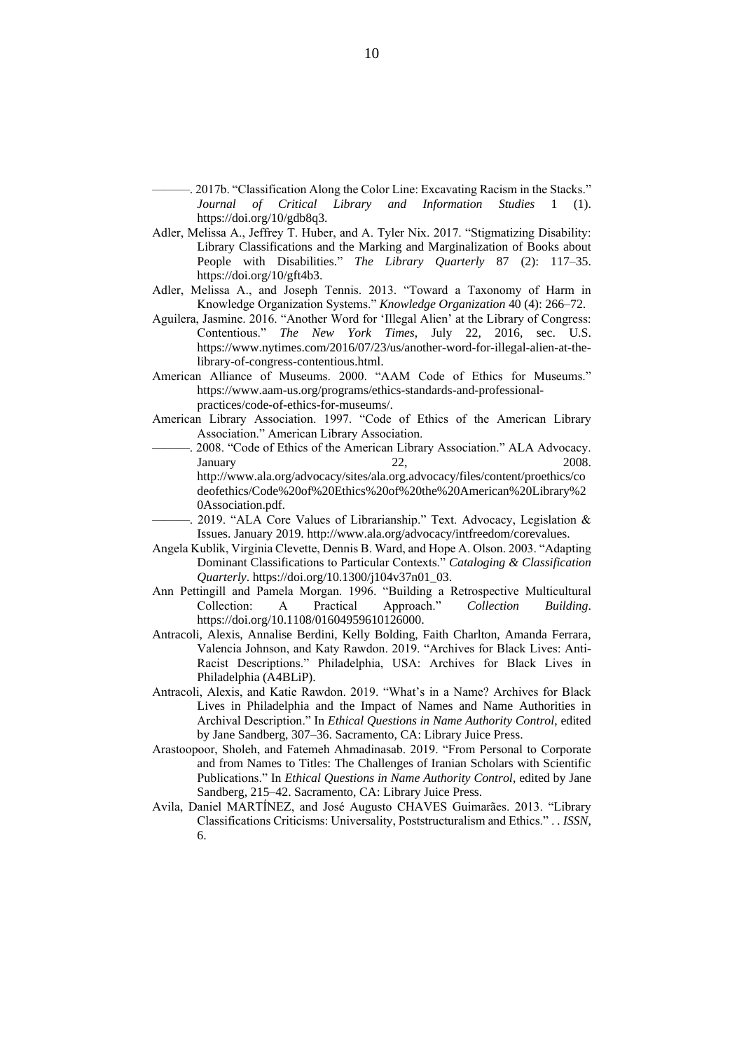-. 2017b. "Classification Along the Color Line: Excavating Racism in the Stacks." *Journal of Critical Library and Information Studies* 1 (1). https://doi.org/10/gdb8q3.

- Adler, Melissa A., Jeffrey T. Huber, and A. Tyler Nix. 2017. "Stigmatizing Disability: Library Classifications and the Marking and Marginalization of Books about People with Disabilities." *The Library Quarterly* 87 (2): 117–35. https://doi.org/10/gft4b3.
- Adler, Melissa A., and Joseph Tennis. 2013. "Toward a Taxonomy of Harm in Knowledge Organization Systems." *Knowledge Organization* 40 (4): 266–72.
- Aguilera, Jasmine. 2016. "Another Word for 'Illegal Alien' at the Library of Congress: Contentious." *The New York Times*, July 22, 2016, sec. U.S. https://www.nytimes.com/2016/07/23/us/another-word-for-illegal-alien-at-thelibrary-of-congress-contentious.html.
- American Alliance of Museums. 2000. "AAM Code of Ethics for Museums." https://www.aam-us.org/programs/ethics-standards-and-professionalpractices/code-of-ethics-for-museums/.
- American Library Association. 1997. "Code of Ethics of the American Library Association." American Library Association.
- ———. 2008. "Code of Ethics of the American Library Association." ALA Advocacy. January 22, 2008. http://www.ala.org/advocacy/sites/ala.org.advocacy/files/content/proethics/co deofethics/Code%20of%20Ethics%20of%20the%20American%20Library%2 0Association.pdf.
- 2019. "ALA Core Values of Librarianship." Text. Advocacy, Legislation  $\&$ Issues. January 2019. http://www.ala.org/advocacy/intfreedom/corevalues.
- Angela Kublik, Virginia Clevette, Dennis B. Ward, and Hope A. Olson. 2003. "Adapting Dominant Classifications to Particular Contexts." *Cataloging & Classification Quarterly*. https://doi.org/10.1300/j104v37n01\_03.
- Ann Pettingill and Pamela Morgan. 1996. "Building a Retrospective Multicultural Collection: A Practical Approach." *Collection Building*. https://doi.org/10.1108/01604959610126000.
- Antracoli, Alexis, Annalise Berdini, Kelly Bolding, Faith Charlton, Amanda Ferrara, Valencia Johnson, and Katy Rawdon. 2019. "Archives for Black Lives: Anti-Racist Descriptions." Philadelphia, USA: Archives for Black Lives in Philadelphia (A4BLiP).
- Antracoli, Alexis, and Katie Rawdon. 2019. "What's in a Name? Archives for Black Lives in Philadelphia and the Impact of Names and Name Authorities in Archival Description." In *Ethical Questions in Name Authority Control*, edited by Jane Sandberg, 307–36. Sacramento, CA: Library Juice Press.
- Arastoopoor, Sholeh, and Fatemeh Ahmadinasab. 2019. "From Personal to Corporate and from Names to Titles: The Challenges of Iranian Scholars with Scientific Publications." In *Ethical Questions in Name Authority Control*, edited by Jane Sandberg, 215–42. Sacramento, CA: Library Juice Press.
- Avila, Daniel MARTÍNEZ, and José Augusto CHAVES Guimarães. 2013. "Library Classifications Criticisms: Universality, Poststructuralism and Ethics." . *. ISSN*, 6.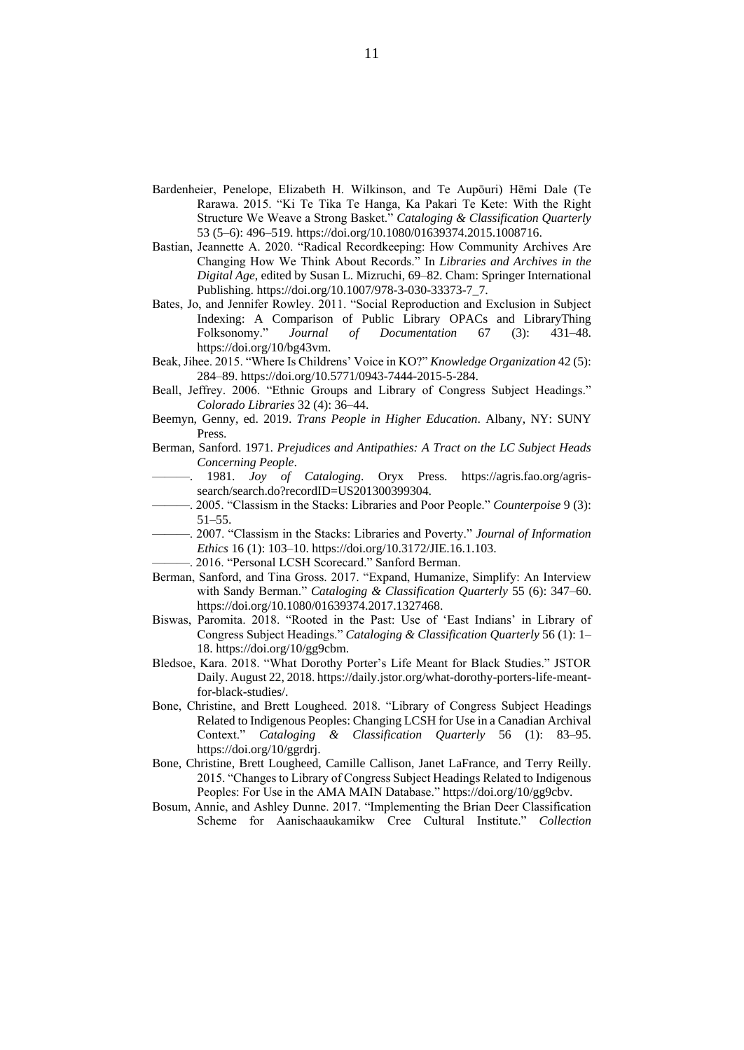- Bardenheier, Penelope, Elizabeth H. Wilkinson, and Te Aupōuri) Hēmi Dale (Te Rarawa. 2015. "Ki Te Tika Te Hanga, Ka Pakari Te Kete: With the Right Structure We Weave a Strong Basket." *Cataloging & Classification Quarterly* 53 (5–6): 496–519. https://doi.org/10.1080/01639374.2015.1008716.
- Bastian, Jeannette A. 2020. "Radical Recordkeeping: How Community Archives Are Changing How We Think About Records." In *Libraries and Archives in the Digital Age*, edited by Susan L. Mizruchi, 69–82. Cham: Springer International Publishing. https://doi.org/10.1007/978-3-030-33373-7\_7.
- Bates, Jo, and Jennifer Rowley. 2011. "Social Reproduction and Exclusion in Subject Indexing: A Comparison of Public Library OPACs and LibraryThing Folksonomy." *Journal of Documentation* 67 (3): 431–48. https://doi.org/10/bg43vm.
- Beak, Jihee. 2015. "Where Is Childrens' Voice in KO?" *Knowledge Organization* 42 (5): 284–89. https://doi.org/10.5771/0943-7444-2015-5-284.
- Beall, Jeffrey. 2006. "Ethnic Groups and Library of Congress Subject Headings." *Colorado Libraries* 32 (4): 36–44.
- Beemyn, Genny, ed. 2019. *Trans People in Higher Education*. Albany, NY: SUNY Press.
- Berman, Sanford. 1971. *Prejudices and Antipathies: A Tract on the LC Subject Heads Concerning People*.
- ———. 1981. *Joy of Cataloging*. Oryx Press. https://agris.fao.org/agrissearch/search.do?recordID=US201300399304.
- ———. 2005. "Classism in the Stacks: Libraries and Poor People." *Counterpoise* 9 (3): 51–55.
- ———. 2007. "Classism in the Stacks: Libraries and Poverty." *Journal of Information Ethics* 16 (1): 103–10. https://doi.org/10.3172/JIE.16.1.103.
- -. 2016. "Personal LCSH Scorecard." Sanford Berman.
- Berman, Sanford, and Tina Gross. 2017. "Expand, Humanize, Simplify: An Interview with Sandy Berman." *Cataloging & Classification Quarterly* 55 (6): 347–60. https://doi.org/10.1080/01639374.2017.1327468.
- Biswas, Paromita. 2018. "Rooted in the Past: Use of 'East Indians' in Library of Congress Subject Headings." *Cataloging & Classification Quarterly* 56 (1): 1– 18. https://doi.org/10/gg9cbm.
- Bledsoe, Kara. 2018. "What Dorothy Porter's Life Meant for Black Studies." JSTOR Daily. August 22, 2018. https://daily.jstor.org/what-dorothy-porters-life-meantfor-black-studies/.
- Bone, Christine, and Brett Lougheed. 2018. "Library of Congress Subject Headings Related to Indigenous Peoples: Changing LCSH for Use in a Canadian Archival Context." *Cataloging & Classification Quarterly* 56 (1): 83–95. https://doi.org/10/ggrdrj.
- Bone, Christine, Brett Lougheed, Camille Callison, Janet LaFrance, and Terry Reilly. 2015. "Changes to Library of Congress Subject Headings Related to Indigenous Peoples: For Use in the AMA MAIN Database." https://doi.org/10/gg9cbv.
- Bosum, Annie, and Ashley Dunne. 2017. "Implementing the Brian Deer Classification Scheme for Aanischaaukamikw Cree Cultural Institute." *Collection*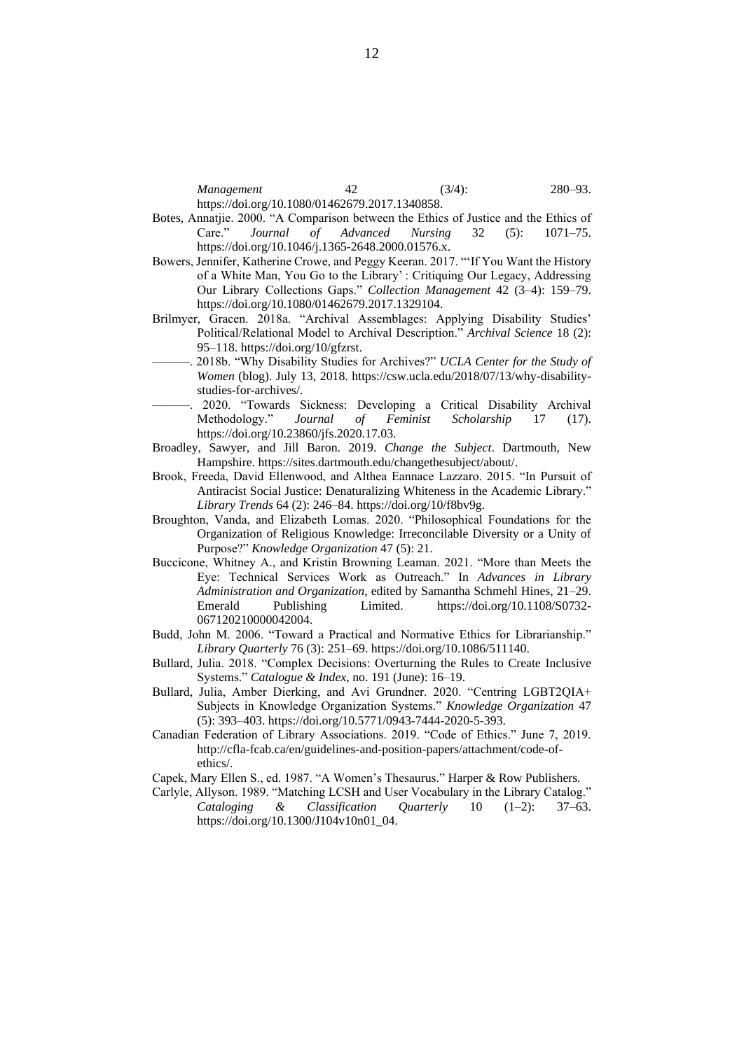*Management* 42 (3/4): 280–93. https://doi.org/10.1080/01462679.2017.1340858.

- Botes, Annatjie. 2000. "A Comparison between the Ethics of Justice and the Ethics of Care." *Journal of Advanced Nursing* 32 (5): 1071–75. https://doi.org/10.1046/j.1365-2648.2000.01576.x.
- Bowers, Jennifer, Katherine Crowe, and Peggy Keeran. 2017. "'If You Want the History of a White Man, You Go to the Library' : Critiquing Our Legacy, Addressing Our Library Collections Gaps." *Collection Management* 42 (3–4): 159–79. https://doi.org/10.1080/01462679.2017.1329104.
- Brilmyer, Gracen. 2018a. "Archival Assemblages: Applying Disability Studies' Political/Relational Model to Archival Description." *Archival Science* 18 (2): 95–118. https://doi.org/10/gfzrst.
- ———. 2018b. "Why Disability Studies for Archives?" *UCLA Center for the Study of Women* (blog). July 13, 2018. https://csw.ucla.edu/2018/07/13/why-disabilitystudies-for-archives/.
- ———. 2020. "Towards Sickness: Developing a Critical Disability Archival Methodology." *Journal of Feminist Scholarship* 17 (17). https://doi.org/10.23860/jfs.2020.17.03.
- Broadley, Sawyer, and Jill Baron. 2019. *Change the Subject*. Dartmouth, New Hampshire. https://sites.dartmouth.edu/changethesubject/about/.
- Brook, Freeda, David Ellenwood, and Althea Eannace Lazzaro. 2015. "In Pursuit of Antiracist Social Justice: Denaturalizing Whiteness in the Academic Library." *Library Trends* 64 (2): 246–84. https://doi.org/10/f8bv9g.
- Broughton, Vanda, and Elizabeth Lomas. 2020. "Philosophical Foundations for the Organization of Religious Knowledge: Irreconcilable Diversity or a Unity of Purpose?" *Knowledge Organization* 47 (5): 21.
- Buccicone, Whitney A., and Kristin Browning Leaman. 2021. "More than Meets the Eye: Technical Services Work as Outreach." In *Advances in Library Administration and Organization*, edited by Samantha Schmehl Hines, 21–29. Emerald Publishing Limited. https://doi.org/10.1108/S0732- 067120210000042004.
- Budd, John M. 2006. "Toward a Practical and Normative Ethics for Librarianship." *Library Quarterly* 76 (3): 251–69. https://doi.org/10.1086/511140.
- Bullard, Julia. 2018. "Complex Decisions: Overturning the Rules to Create Inclusive Systems." *Catalogue & Index*, no. 191 (June): 16–19.
- Bullard, Julia, Amber Dierking, and Avi Grundner. 2020. "Centring LGBT2QIA+ Subjects in Knowledge Organization Systems." *Knowledge Organization* 47 (5): 393–403. https://doi.org/10.5771/0943-7444-2020-5-393.
- Canadian Federation of Library Associations. 2019. "Code of Ethics." June 7, 2019. http://cfla-fcab.ca/en/guidelines-and-position-papers/attachment/code-ofethics/.

Capek, Mary Ellen S., ed. 1987. "A Women's Thesaurus." Harper & Row Publishers.

Carlyle, Allyson. 1989. "Matching LCSH and User Vocabulary in the Library Catalog." *Cataloging & Classification Quarterly* 10 (1–2): 37–63. https://doi.org/10.1300/J104v10n01\_04.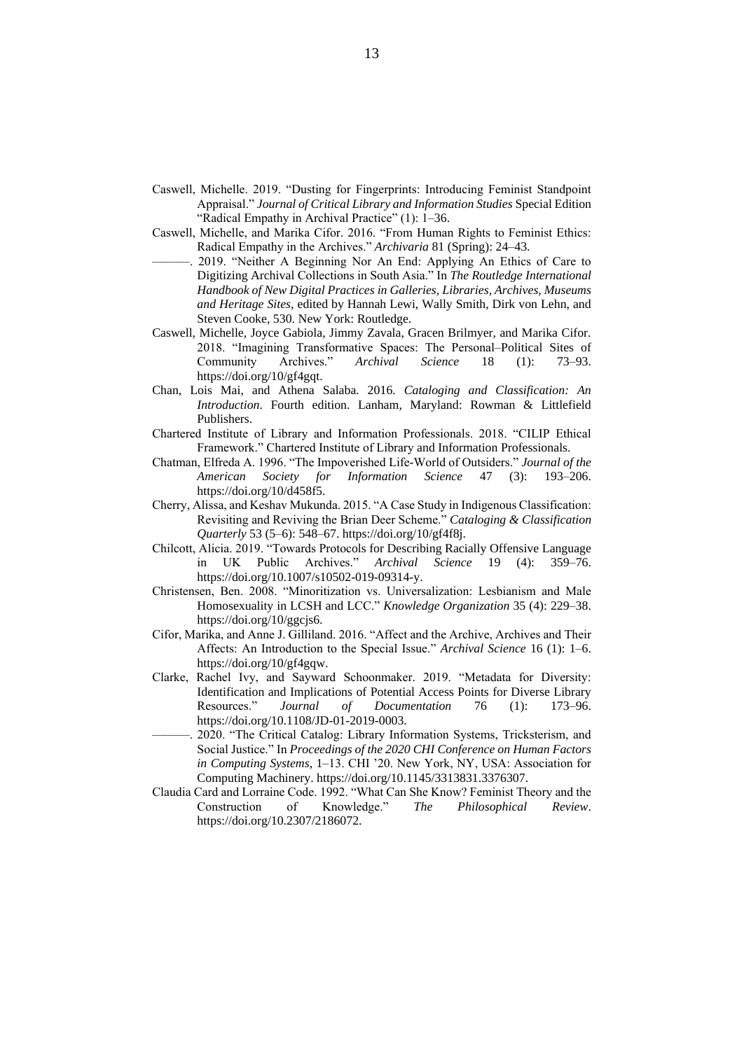- Caswell, Michelle. 2019. "Dusting for Fingerprints: Introducing Feminist Standpoint Appraisal." *Journal of Critical Library and Information Studies* Special Edition "Radical Empathy in Archival Practice" (1): 1–36.
- Caswell, Michelle, and Marika Cifor. 2016. "From Human Rights to Feminist Ethics: Radical Empathy in the Archives." *Archivaria* 81 (Spring): 24–43.
- 2019. "Neither A Beginning Nor An End: Applying An Ethics of Care to Digitizing Archival Collections in South Asia." In *The Routledge International Handbook of New Digital Practices in Galleries, Libraries, Archives, Museums and Heritage Sites*, edited by Hannah Lewi, Wally Smith, Dirk von Lehn, and Steven Cooke, 530. New York: Routledge.
- Caswell, Michelle, Joyce Gabiola, Jimmy Zavala, Gracen Brilmyer, and Marika Cifor. 2018. "Imagining Transformative Spaces: The Personal–Political Sites of Community Archives." *Archival Science* 18 (1): 73–93. https://doi.org/10/gf4gqt.
- Chan, Lois Mai, and Athena Salaba. 2016. *Cataloging and Classification: An Introduction*. Fourth edition. Lanham, Maryland: Rowman & Littlefield Publishers.
- Chartered Institute of Library and Information Professionals. 2018. "CILIP Ethical Framework." Chartered Institute of Library and Information Professionals.
- Chatman, Elfreda A. 1996. "The Impoverished Life-World of Outsiders." *Journal of the American Society for Information Science* 47 (3): 193–206. https://doi.org/10/d458f5.
- Cherry, Alissa, and Keshav Mukunda. 2015. "A Case Study in Indigenous Classification: Revisiting and Reviving the Brian Deer Scheme." *Cataloging & Classification Quarterly* 53 (5–6): 548–67. https://doi.org/10/gf4f8j.
- Chilcott, Alicia. 2019. "Towards Protocols for Describing Racially Offensive Language in UK Public Archives." *Archival Science* 19 (4): 359–76. https://doi.org/10.1007/s10502-019-09314-y.
- Christensen, Ben. 2008. "Minoritization vs. Universalization: Lesbianism and Male Homosexuality in LCSH and LCC." *Knowledge Organization* 35 (4): 229–38. https://doi.org/10/ggcjs6.
- Cifor, Marika, and Anne J. Gilliland. 2016. "Affect and the Archive, Archives and Their Affects: An Introduction to the Special Issue." *Archival Science* 16 (1): 1–6. https://doi.org/10/gf4gqw.
- Clarke, Rachel Ivy, and Sayward Schoonmaker. 2019. "Metadata for Diversity: Identification and Implications of Potential Access Points for Diverse Library Resources." *Journal of Documentation* 76 (1): 173–96. https://doi.org/10.1108/JD-01-2019-0003.
- ———. 2020. "The Critical Catalog: Library Information Systems, Tricksterism, and Social Justice." In *Proceedings of the 2020 CHI Conference on Human Factors in Computing Systems*, 1–13. CHI '20. New York, NY, USA: Association for Computing Machinery. https://doi.org/10.1145/3313831.3376307.
- Claudia Card and Lorraine Code. 1992. "What Can She Know? Feminist Theory and the Construction of Knowledge." The Philosophical Review. Construction of Knowledge." *The Philosophical Review*. https://doi.org/10.2307/2186072.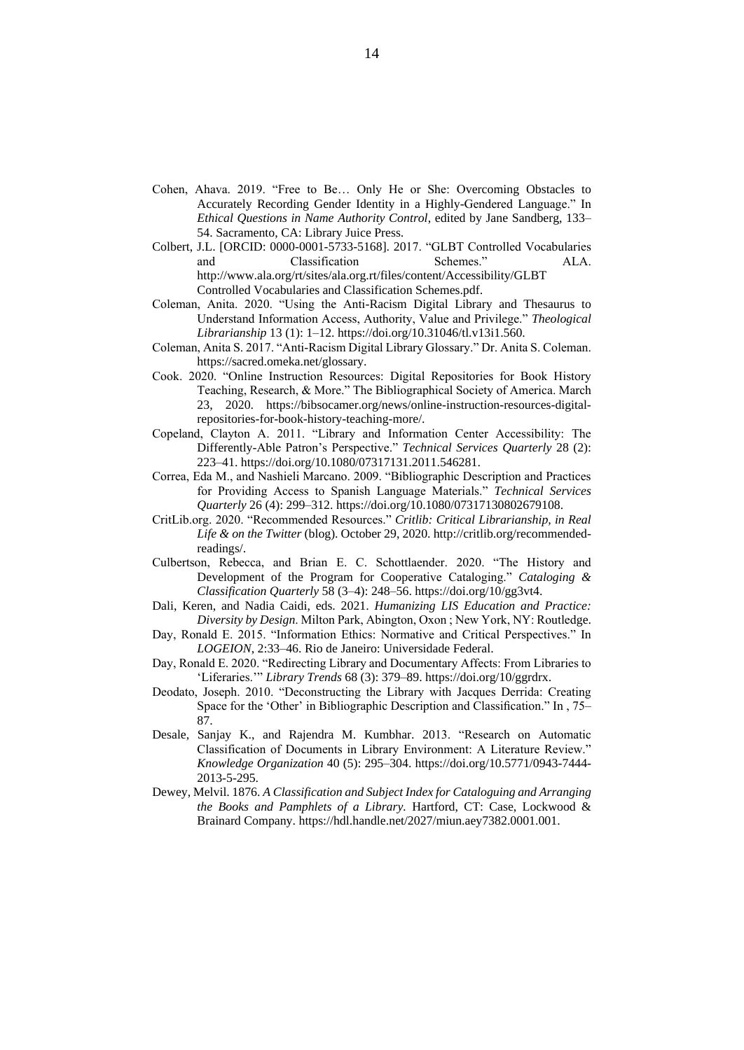- Cohen, Ahava. 2019. "Free to Be… Only He or She: Overcoming Obstacles to Accurately Recording Gender Identity in a Highly-Gendered Language." In *Ethical Questions in Name Authority Control*, edited by Jane Sandberg, 133– 54. Sacramento, CA: Library Juice Press.
- Colbert, J.L. [ORCID: 0000-0001-5733-5168]. 2017. "GLBT Controlled Vocabularies and Classification Schemes." ALA. http://www.ala.org/rt/sites/ala.org.rt/files/content/Accessibility/GLBT Controlled Vocabularies and Classification Schemes.pdf.
- Coleman, Anita. 2020. "Using the Anti-Racism Digital Library and Thesaurus to Understand Information Access, Authority, Value and Privilege." *Theological Librarianship* 13 (1): 1–12. https://doi.org/10.31046/tl.v13i1.560.
- Coleman, Anita S. 2017. "Anti-Racism Digital Library Glossary." Dr. Anita S. Coleman. https://sacred.omeka.net/glossary.
- Cook. 2020. "Online Instruction Resources: Digital Repositories for Book History Teaching, Research, & More." The Bibliographical Society of America. March 23, 2020. https://bibsocamer.org/news/online-instruction-resources-digitalrepositories-for-book-history-teaching-more/.
- Copeland, Clayton A. 2011. "Library and Information Center Accessibility: The Differently-Able Patron's Perspective." *Technical Services Quarterly* 28 (2): 223–41. https://doi.org/10.1080/07317131.2011.546281.
- Correa, Eda M., and Nashieli Marcano. 2009. "Bibliographic Description and Practices for Providing Access to Spanish Language Materials." *Technical Services Quarterly* 26 (4): 299–312. https://doi.org/10.1080/07317130802679108.
- CritLib.org. 2020. "Recommended Resources." *Critlib: Critical Librarianship, in Real Life & on the Twitter* (blog). October 29, 2020. http://critlib.org/recommendedreadings/.
- Culbertson, Rebecca, and Brian E. C. Schottlaender. 2020. "The History and Development of the Program for Cooperative Cataloging." *Cataloging & Classification Quarterly* 58 (3–4): 248–56. https://doi.org/10/gg3vt4.
- Dali, Keren, and Nadia Caidi, eds. 2021. *Humanizing LIS Education and Practice: Diversity by Design*. Milton Park, Abington, Oxon ; New York, NY: Routledge.
- Day, Ronald E. 2015. "Information Ethics: Normative and Critical Perspectives." In *LOGEION*, 2:33–46. Rio de Janeiro: Universidade Federal.
- Day, Ronald E. 2020. "Redirecting Library and Documentary Affects: From Libraries to 'Liferaries.'" *Library Trends* 68 (3): 379–89. https://doi.org/10/ggrdrx.
- Deodato, Joseph. 2010. "Deconstructing the Library with Jacques Derrida: Creating Space for the 'Other' in Bibliographic Description and Classification." In , 75– 87.
- Desale, Sanjay K., and Rajendra M. Kumbhar. 2013. "Research on Automatic Classification of Documents in Library Environment: A Literature Review." *Knowledge Organization* 40 (5): 295–304. https://doi.org/10.5771/0943-7444- 2013-5-295.
- Dewey, Melvil. 1876. *A Classification and Subject Index for Cataloguing and Arranging the Books and Pamphlets of a Library.* Hartford, CT: Case, Lockwood & Brainard Company. https://hdl.handle.net/2027/miun.aey7382.0001.001.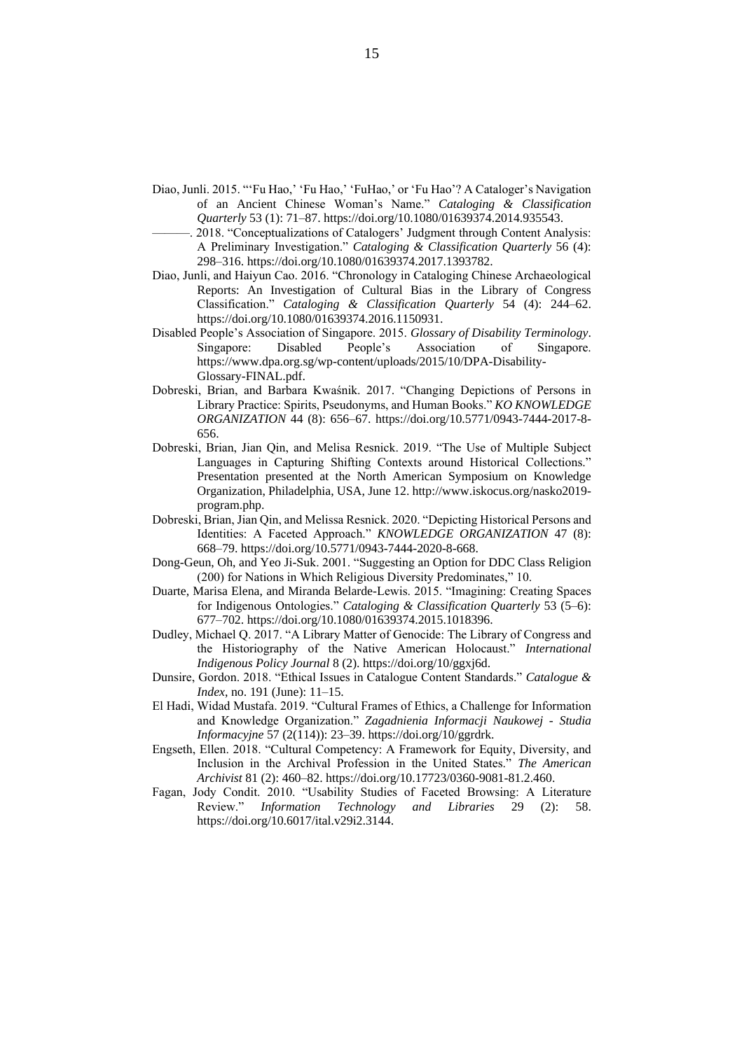- Diao, Junli. 2015. "'Fu Hao,' 'Fu Hao,' 'FuHao,' or 'Fu Hao'? A Cataloger's Navigation of an Ancient Chinese Woman's Name." *Cataloging & Classification Quarterly* 53 (1): 71–87. https://doi.org/10.1080/01639374.2014.935543.
- 2018. "Conceptualizations of Catalogers' Judgment through Content Analysis: A Preliminary Investigation." *Cataloging & Classification Quarterly* 56 (4): 298–316. https://doi.org/10.1080/01639374.2017.1393782.
- Diao, Junli, and Haiyun Cao. 2016. "Chronology in Cataloging Chinese Archaeological Reports: An Investigation of Cultural Bias in the Library of Congress Classification." *Cataloging & Classification Quarterly* 54 (4): 244–62. https://doi.org/10.1080/01639374.2016.1150931.
- Disabled People's Association of Singapore. 2015. *Glossary of Disability Terminology*. Singapore: Disabled People's Association of Singapore. https://www.dpa.org.sg/wp-content/uploads/2015/10/DPA-Disability-Glossary-FINAL.pdf.
- Dobreski, Brian, and Barbara Kwaśnik. 2017. "Changing Depictions of Persons in Library Practice: Spirits, Pseudonyms, and Human Books." *KO KNOWLEDGE ORGANIZATION* 44 (8): 656–67. https://doi.org/10.5771/0943-7444-2017-8- 656.
- Dobreski, Brian, Jian Qin, and Melisa Resnick. 2019. "The Use of Multiple Subject Languages in Capturing Shifting Contexts around Historical Collections." Presentation presented at the North American Symposium on Knowledge Organization, Philadelphia, USA, June 12. http://www.iskocus.org/nasko2019 program.php.
- Dobreski, Brian, Jian Qin, and Melissa Resnick. 2020. "Depicting Historical Persons and Identities: A Faceted Approach." *KNOWLEDGE ORGANIZATION* 47 (8): 668–79. https://doi.org/10.5771/0943-7444-2020-8-668.
- Dong-Geun, Oh, and Yeo Ji-Suk. 2001. "Suggesting an Option for DDC Class Religion (200) for Nations in Which Religious Diversity Predominates," 10.
- Duarte, Marisa Elena, and Miranda Belarde-Lewis. 2015. "Imagining: Creating Spaces for Indigenous Ontologies." *Cataloging & Classification Quarterly* 53 (5–6): 677–702. https://doi.org/10.1080/01639374.2015.1018396.
- Dudley, Michael Q. 2017. "A Library Matter of Genocide: The Library of Congress and the Historiography of the Native American Holocaust." *International Indigenous Policy Journal* 8 (2). https://doi.org/10/ggxj6d.
- Dunsire, Gordon. 2018. "Ethical Issues in Catalogue Content Standards." *Catalogue & Index*, no. 191 (June): 11–15.
- El Hadi, Widad Mustafa. 2019. "Cultural Frames of Ethics, a Challenge for Information and Knowledge Organization." *Zagadnienia Informacji Naukowej - Studia Informacyjne* 57 (2(114)): 23–39. https://doi.org/10/ggrdrk.
- Engseth, Ellen. 2018. "Cultural Competency: A Framework for Equity, Diversity, and Inclusion in the Archival Profession in the United States." *The American Archivist* 81 (2): 460–82. https://doi.org/10.17723/0360-9081-81.2.460.
- Fagan, Jody Condit. 2010. "Usability Studies of Faceted Browsing: A Literature Review." Information Technology and Libraries 29 (2): 58. Review." *Information Technology and Libraries* 29 (2): 58. https://doi.org/10.6017/ital.v29i2.3144.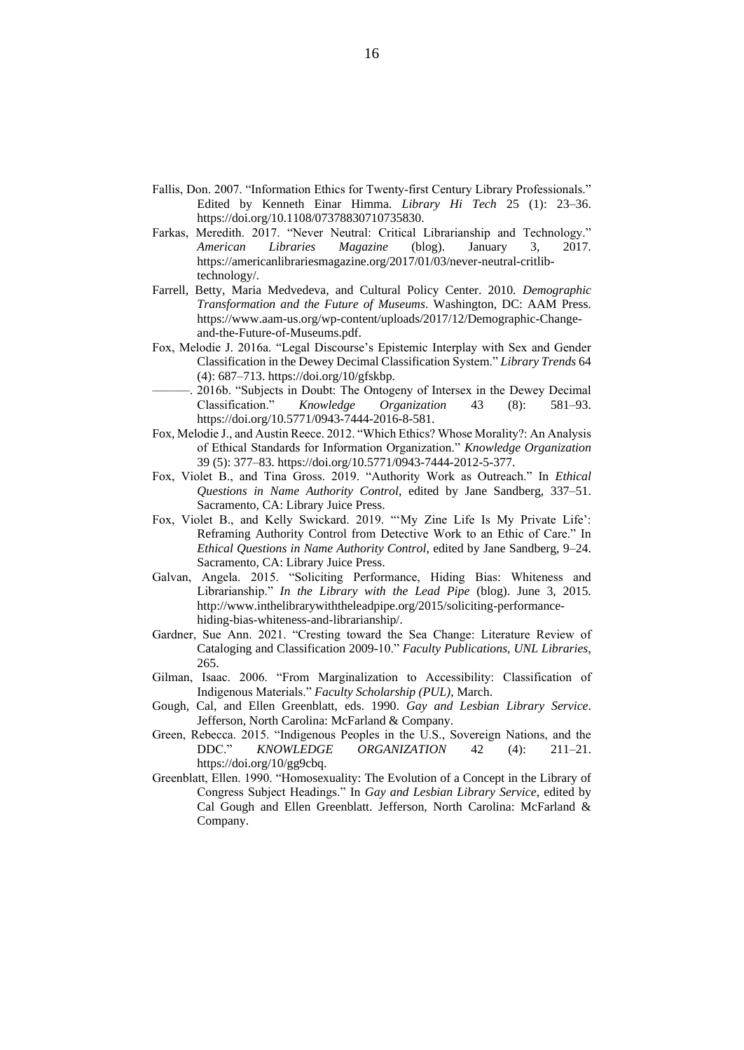- Fallis, Don. 2007. "Information Ethics for Twenty‐first Century Library Professionals." Edited by Kenneth Einar Himma. *Library Hi Tech* 25 (1): 23–36. https://doi.org/10.1108/07378830710735830.
- Farkas, Meredith. 2017. "Never Neutral: Critical Librarianship and Technology." *American Libraries Magazine* (blog). January 3, 2017. https://americanlibrariesmagazine.org/2017/01/03/never-neutral-critlibtechnology/.
- Farrell, Betty, Maria Medvedeva, and Cultural Policy Center. 2010. *Demographic Transformation and the Future of Museums*. Washington, DC: AAM Press. https://www.aam-us.org/wp-content/uploads/2017/12/Demographic-Changeand-the-Future-of-Museums.pdf.
- Fox, Melodie J. 2016a. "Legal Discourse's Epistemic Interplay with Sex and Gender Classification in the Dewey Decimal Classification System." *Library Trends* 64 (4): 687–713. https://doi.org/10/gfskbp.
	- ———. 2016b. "Subjects in Doubt: The Ontogeny of Intersex in the Dewey Decimal Classification." *Knowledge Organization* 43 (8): 581–93. https://doi.org/10.5771/0943-7444-2016-8-581.
- Fox, Melodie J., and Austin Reece. 2012. "Which Ethics? Whose Morality?: An Analysis of Ethical Standards for Information Organization." *Knowledge Organization* 39 (5): 377–83. https://doi.org/10.5771/0943-7444-2012-5-377.
- Fox, Violet B., and Tina Gross. 2019. "Authority Work as Outreach." In *Ethical Questions in Name Authority Control*, edited by Jane Sandberg, 337–51. Sacramento, CA: Library Juice Press.
- Fox, Violet B., and Kelly Swickard. 2019. "'My Zine Life Is My Private Life': Reframing Authority Control from Detective Work to an Ethic of Care." In *Ethical Questions in Name Authority Control*, edited by Jane Sandberg, 9–24. Sacramento, CA: Library Juice Press.
- Galvan, Angela. 2015. "Soliciting Performance, Hiding Bias: Whiteness and Librarianship." *In the Library with the Lead Pipe* (blog). June 3, 2015. http://www.inthelibrarywiththeleadpipe.org/2015/soliciting-performancehiding-bias-whiteness-and-librarianship/.
- Gardner, Sue Ann. 2021. "Cresting toward the Sea Change: Literature Review of Cataloging and Classification 2009-10." *Faculty Publications, UNL Libraries*, 265.
- Gilman, Isaac. 2006. "From Marginalization to Accessibility: Classification of Indigenous Materials." *Faculty Scholarship (PUL)*, March.
- Gough, Cal, and Ellen Greenblatt, eds. 1990. *Gay and Lesbian Library Service*. Jefferson, North Carolina: McFarland & Company.
- Green, Rebecca. 2015. "Indigenous Peoples in the U.S., Sovereign Nations, and the DDC." *KNOWLEDGE ORGANIZATION* 42 (4): 211–21. https://doi.org/10/gg9cbq.
- Greenblatt, Ellen. 1990. "Homosexuality: The Evolution of a Concept in the Library of Congress Subject Headings." In *Gay and Lesbian Library Service*, edited by Cal Gough and Ellen Greenblatt. Jefferson, North Carolina: McFarland & Company.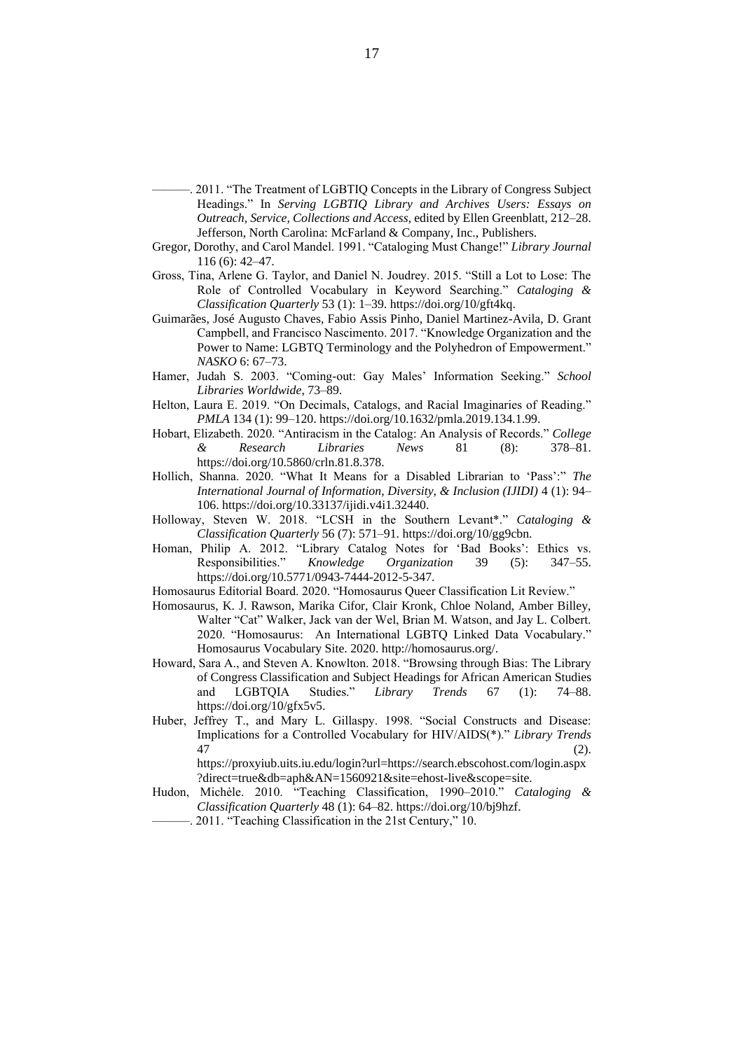- -. 2011. "The Treatment of LGBTIQ Concepts in the Library of Congress Subject Headings." In *Serving LGBTIQ Library and Archives Users: Essays on Outreach, Service, Collections and Access*, edited by Ellen Greenblatt, 212–28. Jefferson, North Carolina: McFarland & Company, Inc., Publishers.
- Gregor, Dorothy, and Carol Mandel. 1991. "Cataloging Must Change!" *Library Journal* 116 (6): 42–47.
- Gross, Tina, Arlene G. Taylor, and Daniel N. Joudrey. 2015. "Still a Lot to Lose: The Role of Controlled Vocabulary in Keyword Searching." *Cataloging & Classification Quarterly* 53 (1): 1–39. https://doi.org/10/gft4kq.
- Guimarães, José Augusto Chaves, Fabio Assis Pinho, Daniel Martinez-Avila, D. Grant Campbell, and Francisco Nascimento. 2017. "Knowledge Organization and the Power to Name: LGBTQ Terminology and the Polyhedron of Empowerment." *NASKO* 6: 67–73.
- Hamer, Judah S. 2003. "Coming-out: Gay Males' Information Seeking." *School Libraries Worldwide*, 73–89.
- Helton, Laura E. 2019. "On Decimals, Catalogs, and Racial Imaginaries of Reading." *PMLA* 134 (1): 99–120. https://doi.org/10.1632/pmla.2019.134.1.99.
- Hobart, Elizabeth. 2020. "Antiracism in the Catalog: An Analysis of Records." *College & Research Libraries News* 81 (8): 378–81. https://doi.org/10.5860/crln.81.8.378.
- Hollich, Shanna. 2020. "What It Means for a Disabled Librarian to 'Pass':" *The International Journal of Information, Diversity, & Inclusion (IJIDI)* 4 (1): 94– 106. https://doi.org/10.33137/ijidi.v4i1.32440.
- Holloway, Steven W. 2018. "LCSH in the Southern Levant\*." *Cataloging & Classification Quarterly* 56 (7): 571–91. https://doi.org/10/gg9cbn.
- Homan, Philip A. 2012. "Library Catalog Notes for 'Bad Books': Ethics vs. Responsibilities." *Knowledge Organization* 39 (5): 347–55. https://doi.org/10.5771/0943-7444-2012-5-347.
- Homosaurus Editorial Board. 2020. "Homosaurus Queer Classification Lit Review."
- Homosaurus, K. J. Rawson, Marika Cifor, Clair Kronk, Chloe Noland, Amber Billey, Walter "Cat" Walker, Jack van der Wel, Brian M. Watson, and Jay L. Colbert. 2020. "Homosaurus: An International LGBTQ Linked Data Vocabulary." Homosaurus Vocabulary Site. 2020. http://homosaurus.org/.
- Howard, Sara A., and Steven A. Knowlton. 2018. "Browsing through Bias: The Library of Congress Classification and Subject Headings for African American Studies and LGBTQIA Studies." *Library Trends* 67 (1): 74–88. https://doi.org/10/gfx5v5.
- Huber, Jeffrey T., and Mary L. Gillaspy. 1998. "Social Constructs and Disease: Implications for a Controlled Vocabulary for HIV/AIDS(\*)." *Library Trends*  $47$  (2). https://proxyiub.uits.iu.edu/login?url=https://search.ebscohost.com/login.aspx

?direct=true&db=aph&AN=1560921&site=ehost-live&scope=site.

- Hudon, Michèle. 2010. "Teaching Classification, 1990–2010." *Cataloging & Classification Quarterly* 48 (1): 64–82. https://doi.org/10/bj9hzf.
	- 2011. "Teaching Classification in the 21st Century," 10.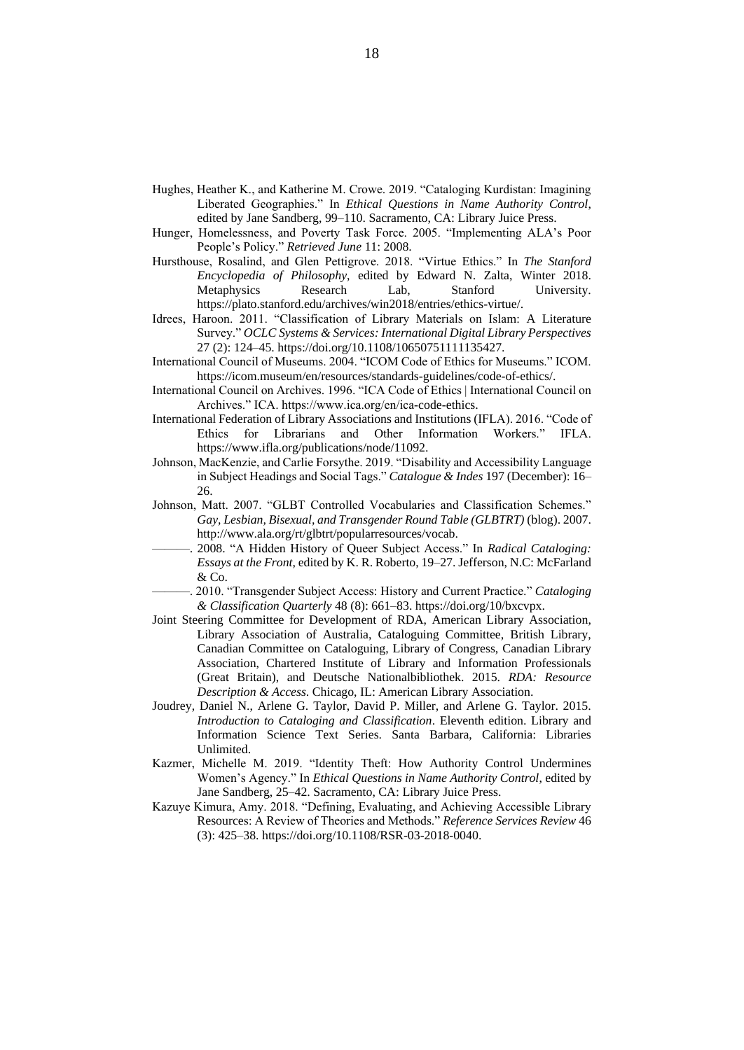- Hughes, Heather K., and Katherine M. Crowe. 2019. "Cataloging Kurdistan: Imagining Liberated Geographies." In *Ethical Questions in Name Authority Control*, edited by Jane Sandberg, 99–110. Sacramento, CA: Library Juice Press.
- Hunger, Homelessness, and Poverty Task Force. 2005. "Implementing ALA's Poor People's Policy." *Retrieved June* 11: 2008.
- Hursthouse, Rosalind, and Glen Pettigrove. 2018. "Virtue Ethics." In *The Stanford Encyclopedia of Philosophy*, edited by Edward N. Zalta, Winter 2018. Metaphysics Research Lab, Stanford University. https://plato.stanford.edu/archives/win2018/entries/ethics-virtue/.
- Idrees, Haroon. 2011. "Classification of Library Materials on Islam: A Literature Survey." *OCLC Systems & Services: International Digital Library Perspectives* 27 (2): 124–45. https://doi.org/10.1108/10650751111135427.
- International Council of Museums. 2004. "ICOM Code of Ethics for Museums." ICOM. https://icom.museum/en/resources/standards-guidelines/code-of-ethics/.
- International Council on Archives. 1996. "ICA Code of Ethics | International Council on Archives." ICA. https://www.ica.org/en/ica-code-ethics.
- International Federation of Library Associations and Institutions (IFLA). 2016. "Code of Ethics for Librarians and Other Information Workers." IFLA. https://www.ifla.org/publications/node/11092.
- Johnson, MacKenzie, and Carlie Forsythe. 2019. "Disability and Accessibility Language in Subject Headings and Social Tags." *Catalogue & Indes* 197 (December): 16– 26.
- Johnson, Matt. 2007. "GLBT Controlled Vocabularies and Classification Schemes." *Gay, Lesbian, Bisexual, and Transgender Round Table (GLBTRT)* (blog). 2007. http://www.ala.org/rt/glbtrt/popularresources/vocab.
- ———. 2008. "A Hidden History of Queer Subject Access." In *Radical Cataloging: Essays at the Front*, edited by K. R. Roberto, 19–27. Jefferson, N.C: McFarland & Co.
- ———. 2010. "Transgender Subject Access: History and Current Practice." *Cataloging & Classification Quarterly* 48 (8): 661–83. https://doi.org/10/bxcvpx.
- Joint Steering Committee for Development of RDA, American Library Association, Library Association of Australia, Cataloguing Committee, British Library, Canadian Committee on Cataloguing, Library of Congress, Canadian Library Association, Chartered Institute of Library and Information Professionals (Great Britain), and Deutsche Nationalbibliothek. 2015. *RDA: Resource Description & Access*. Chicago, IL: American Library Association.
- Joudrey, Daniel N., Arlene G. Taylor, David P. Miller, and Arlene G. Taylor. 2015. *Introduction to Cataloging and Classification*. Eleventh edition. Library and Information Science Text Series. Santa Barbara, California: Libraries Unlimited.
- Kazmer, Michelle M. 2019. "Identity Theft: How Authority Control Undermines Women's Agency." In *Ethical Questions in Name Authority Control*, edited by Jane Sandberg, 25–42. Sacramento, CA: Library Juice Press.
- Kazuye Kimura, Amy. 2018. "Defining, Evaluating, and Achieving Accessible Library Resources: A Review of Theories and Methods." *Reference Services Review* 46 (3): 425–38. https://doi.org/10.1108/RSR-03-2018-0040.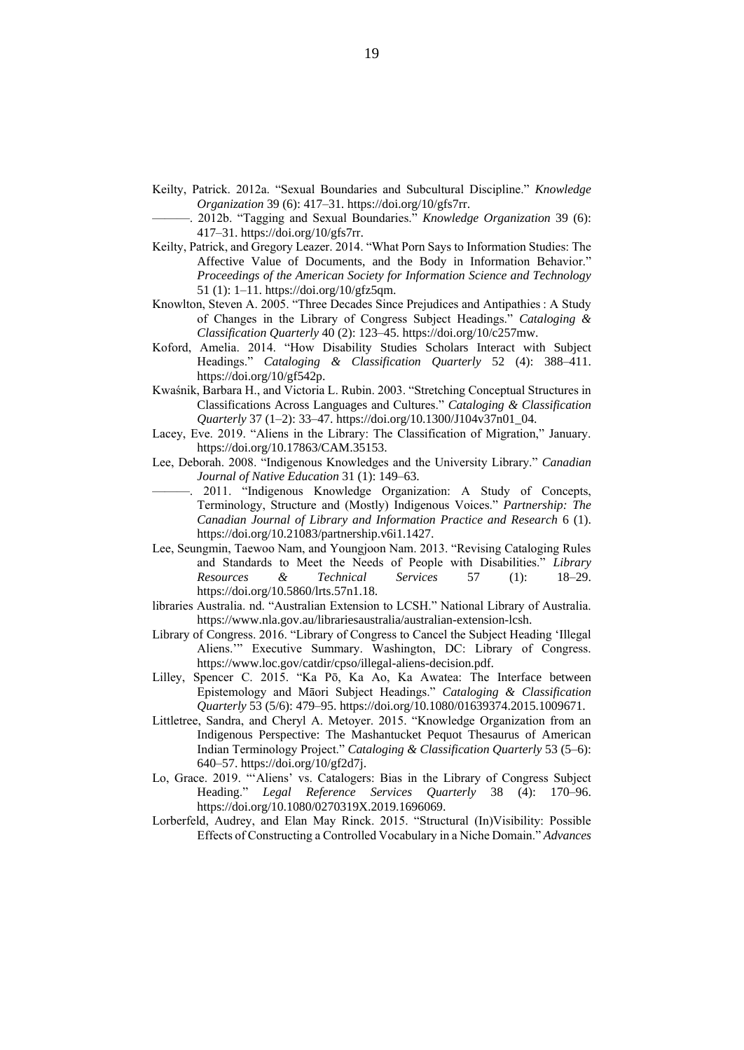- Keilty, Patrick. 2012a. "Sexual Boundaries and Subcultural Discipline." *Knowledge Organization* 39 (6): 417–31. https://doi.org/10/gfs7rr.
	- ———. 2012b. "Tagging and Sexual Boundaries." *Knowledge Organization* 39 (6): 417–31. https://doi.org/10/gfs7rr.
- Keilty, Patrick, and Gregory Leazer. 2014. "What Porn Says to Information Studies: The Affective Value of Documents, and the Body in Information Behavior." *Proceedings of the American Society for Information Science and Technology* 51 (1): 1–11. https://doi.org/10/gfz5qm.
- Knowlton, Steven A. 2005. "Three Decades Since Prejudices and Antipathies : A Study of Changes in the Library of Congress Subject Headings." *Cataloging & Classification Quarterly* 40 (2): 123–45. https://doi.org/10/c257mw.
- Koford, Amelia. 2014. "How Disability Studies Scholars Interact with Subject Headings." *Cataloging & Classification Quarterly* 52 (4): 388–411. https://doi.org/10/gf542p.
- Kwaśnik, Barbara H., and Victoria L. Rubin. 2003. "Stretching Conceptual Structures in Classifications Across Languages and Cultures." *Cataloging & Classification Quarterly* 37 (1–2): 33–47. https://doi.org/10.1300/J104v37n01\_04.
- Lacey, Eve. 2019. "Aliens in the Library: The Classification of Migration," January. https://doi.org/10.17863/CAM.35153.
- Lee, Deborah. 2008. "Indigenous Knowledges and the University Library." *Canadian Journal of Native Education* 31 (1): 149–63.
- 2011. "Indigenous Knowledge Organization: A Study of Concepts, Terminology, Structure and (Mostly) Indigenous Voices." *Partnership: The Canadian Journal of Library and Information Practice and Research* 6 (1). https://doi.org/10.21083/partnership.v6i1.1427.
- Lee, Seungmin, Taewoo Nam, and Youngjoon Nam. 2013. "Revising Cataloging Rules and Standards to Meet the Needs of People with Disabilities." *Library Resources & Technical Services* 57 (1): 18–29. https://doi.org/10.5860/lrts.57n1.18.
- libraries Australia. nd. "Australian Extension to LCSH." National Library of Australia. https://www.nla.gov.au/librariesaustralia/australian-extension-lcsh.
- Library of Congress. 2016. "Library of Congress to Cancel the Subject Heading 'Illegal Aliens.'" Executive Summary. Washington, DC: Library of Congress. https://www.loc.gov/catdir/cpso/illegal-aliens-decision.pdf.
- Lilley, Spencer C. 2015. "Ka Pō, Ka Ao, Ka Awatea: The Interface between Epistemology and Māori Subject Headings." *Cataloging & Classification Quarterly* 53 (5/6): 479–95. https://doi.org/10.1080/01639374.2015.1009671.
- Littletree, Sandra, and Cheryl A. Metoyer. 2015. "Knowledge Organization from an Indigenous Perspective: The Mashantucket Pequot Thesaurus of American Indian Terminology Project." *Cataloging & Classification Quarterly* 53 (5–6): 640–57. https://doi.org/10/gf2d7j.
- Lo, Grace. 2019. "'Aliens' vs. Catalogers: Bias in the Library of Congress Subject Heading." *Legal Reference Services Quarterly* 38 (4): 170–96. https://doi.org/10.1080/0270319X.2019.1696069.
- Lorberfeld, Audrey, and Elan May Rinck. 2015. "Structural (In)Visibility: Possible Effects of Constructing a Controlled Vocabulary in a Niche Domain." *Advances*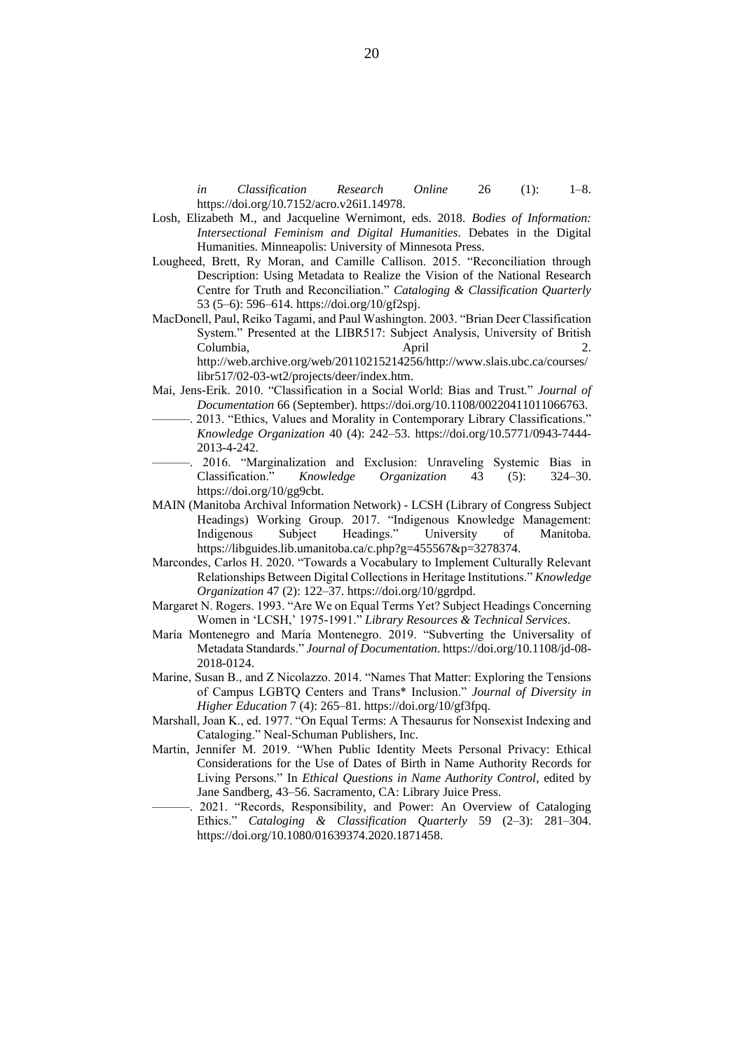*in Classification Research Online* 26 (1): 1–8. https://doi.org/10.7152/acro.v26i1.14978.

- Losh, Elizabeth M., and Jacqueline Wernimont, eds. 2018. *Bodies of Information: Intersectional Feminism and Digital Humanities*. Debates in the Digital Humanities. Minneapolis: University of Minnesota Press.
- Lougheed, Brett, Ry Moran, and Camille Callison. 2015. "Reconciliation through Description: Using Metadata to Realize the Vision of the National Research Centre for Truth and Reconciliation." *Cataloging & Classification Quarterly* 53 (5–6): 596–614. https://doi.org/10/gf2spj.
- MacDonell, Paul, Reiko Tagami, and Paul Washington. 2003. "Brian Deer Classification System." Presented at the LIBR517: Subject Analysis, University of British Columbia, April 2. http://web.archive.org/web/20110215214256/http://www.slais.ubc.ca/courses/
	- libr517/02-03-wt2/projects/deer/index.htm.
- Mai, Jens-Erik. 2010. "Classification in a Social World: Bias and Trust." *Journal of Documentation* 66 (September). https://doi.org/10.1108/00220411011066763.
- 2013. "Ethics, Values and Morality in Contemporary Library Classifications." *Knowledge Organization* 40 (4): 242–53. https://doi.org/10.5771/0943-7444- 2013-4-242.
- 2016. "Marginalization and Exclusion: Unraveling Systemic Bias in Classification." *Knowledge Organization* 43 (5): 324–30. https://doi.org/10/gg9cbt.
- MAIN (Manitoba Archival Information Network) LCSH (Library of Congress Subject Headings) Working Group. 2017. "Indigenous Knowledge Management: Indigenous Subject Headings." University of Manitoba. https://libguides.lib.umanitoba.ca/c.php?g=455567&p=3278374.
- Marcondes, Carlos H. 2020. "Towards a Vocabulary to Implement Culturally Relevant Relationships Between Digital Collections in Heritage Institutions." *Knowledge Organization* 47 (2): 122–37. https://doi.org/10/ggrdpd.
- Margaret N. Rogers. 1993. "Are We on Equal Terms Yet? Subject Headings Concerning Women in 'LCSH,' 1975-1991." *Library Resources & Technical Services*.
- María Montenegro and María Montenegro. 2019. "Subverting the Universality of Metadata Standards." *Journal of Documentation*. https://doi.org/10.1108/jd-08- 2018-0124.
- Marine, Susan B., and Z Nicolazzo. 2014. "Names That Matter: Exploring the Tensions of Campus LGBTQ Centers and Trans\* Inclusion." *Journal of Diversity in Higher Education* 7 (4): 265–81. https://doi.org/10/gf3fpq.
- Marshall, Joan K., ed. 1977. "On Equal Terms: A Thesaurus for Nonsexist Indexing and Cataloging." Neal-Schuman Publishers, Inc.
- Martin, Jennifer M. 2019. "When Public Identity Meets Personal Privacy: Ethical Considerations for the Use of Dates of Birth in Name Authority Records for Living Persons." In *Ethical Questions in Name Authority Control*, edited by Jane Sandberg, 43–56. Sacramento, CA: Library Juice Press.
	- . 2021. "Records, Responsibility, and Power: An Overview of Cataloging Ethics." *Cataloging & Classification Quarterly* 59 (2–3): 281–304. https://doi.org/10.1080/01639374.2020.1871458.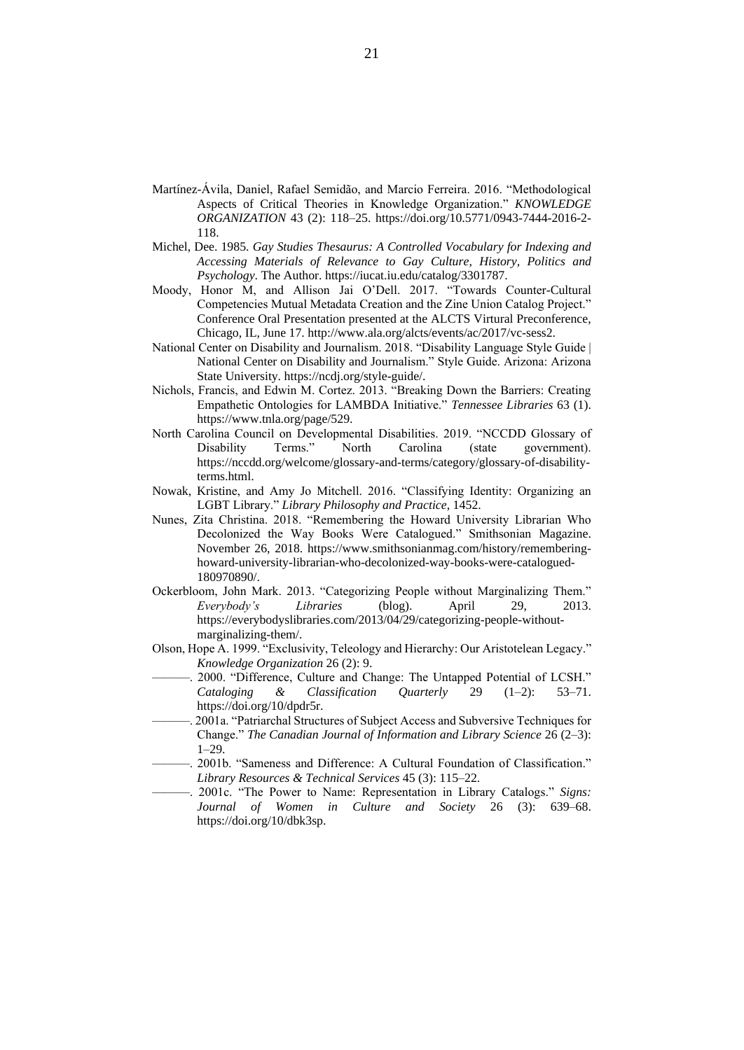- Martínez-Ávila, Daniel, Rafael Semidão, and Marcio Ferreira. 2016. "Methodological Aspects of Critical Theories in Knowledge Organization." *KNOWLEDGE ORGANIZATION* 43 (2): 118–25. https://doi.org/10.5771/0943-7444-2016-2- 118.
- Michel, Dee. 1985. *Gay Studies Thesaurus: A Controlled Vocabulary for Indexing and Accessing Materials of Relevance to Gay Culture, History, Politics and Psychology*. The Author. https://iucat.iu.edu/catalog/3301787.
- Moody, Honor M, and Allison Jai O'Dell. 2017. "Towards Counter-Cultural Competencies Mutual Metadata Creation and the Zine Union Catalog Project." Conference Oral Presentation presented at the ALCTS Virtural Preconference, Chicago, IL, June 17. http://www.ala.org/alcts/events/ac/2017/vc-sess2.
- National Center on Disability and Journalism. 2018. "Disability Language Style Guide | National Center on Disability and Journalism." Style Guide. Arizona: Arizona State University. https://ncdj.org/style-guide/.
- Nichols, Francis, and Edwin M. Cortez. 2013. "Breaking Down the Barriers: Creating Empathetic Ontologies for LAMBDA Initiative." *Tennessee Libraries* 63 (1). https://www.tnla.org/page/529.
- North Carolina Council on Developmental Disabilities. 2019. "NCCDD Glossary of Disability Terms." North Carolina (state government). https://nccdd.org/welcome/glossary-and-terms/category/glossary-of-disabilityterms.html.
- Nowak, Kristine, and Amy Jo Mitchell. 2016. "Classifying Identity: Organizing an LGBT Library." *Library Philosophy and Practice*, 1452.
- Nunes, Zita Christina. 2018. "Remembering the Howard University Librarian Who Decolonized the Way Books Were Catalogued." Smithsonian Magazine. November 26, 2018. https://www.smithsonianmag.com/history/rememberinghoward-university-librarian-who-decolonized-way-books-were-catalogued-180970890/.
- Ockerbloom, John Mark. 2013. "Categorizing People without Marginalizing Them." *Everybody's Libraries* (blog). April 29, 2013. https://everybodyslibraries.com/2013/04/29/categorizing-people-withoutmarginalizing-them/.
- Olson, Hope A. 1999. "Exclusivity, Teleology and Hierarchy: Our Aristotelean Legacy." *Knowledge Organization* 26 (2): 9.
- 2000. "Difference, Culture and Change: The Untapped Potential of LCSH." *Cataloging & Classification Quarterly* 29 (1–2): 53–71. https://doi.org/10/dpdr5r.
- ———. 2001a. "Patriarchal Structures of Subject Access and Subversive Techniques for Change." *The Canadian Journal of Information and Library Science* 26 (2–3): 1–29.
- ———. 2001b. "Sameness and Difference: A Cultural Foundation of Classification." *Library Resources & Technical Services* 45 (3): 115–22.
- ———. 2001c. "The Power to Name: Representation in Library Catalogs." *Signs: Journal of Women in Culture and Society* 26 (3): 639–68. https://doi.org/10/dbk3sp.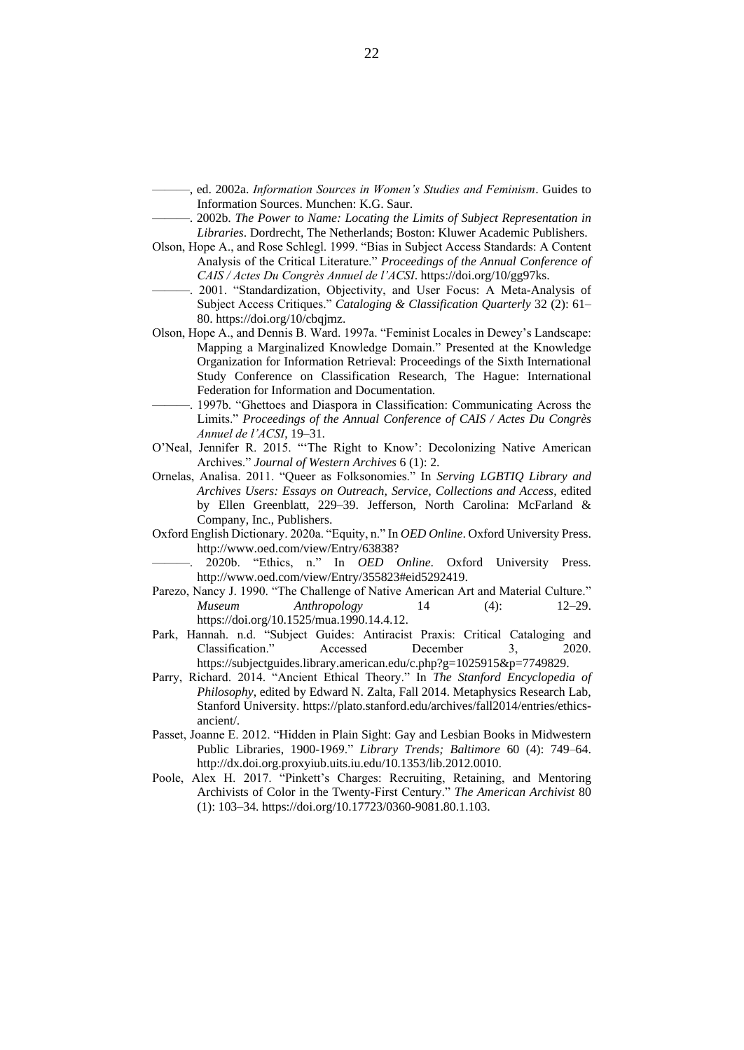- ———, ed. 2002a. *Information Sources in Women's Studies and Feminism*. Guides to Information Sources. Munchen: K.G. Saur.
- ———. 2002b. *The Power to Name: Locating the Limits of Subject Representation in Libraries*. Dordrecht, The Netherlands; Boston: Kluwer Academic Publishers.
- Olson, Hope A., and Rose Schlegl. 1999. "Bias in Subject Access Standards: A Content Analysis of the Critical Literature." *Proceedings of the Annual Conference of CAIS / Actes Du Congrès Annuel de l'ACSI*. https://doi.org/10/gg97ks.
- ———. 2001. "Standardization, Objectivity, and User Focus: A Meta-Analysis of Subject Access Critiques." *Cataloging & Classification Quarterly* 32 (2): 61– 80. https://doi.org/10/cbqjmz.
- Olson, Hope A., and Dennis B. Ward. 1997a. "Feminist Locales in Dewey's Landscape: Mapping a Marginalized Knowledge Domain." Presented at the Knowledge Organization for Information Retrieval: Proceedings of the Sixth International Study Conference on Classification Research, The Hague: International Federation for Information and Documentation.
- 1997b. "Ghettoes and Diaspora in Classification: Communicating Across the Limits." *Proceedings of the Annual Conference of CAIS / Actes Du Congrès Annuel de l'ACSI*, 19–31.
- O'Neal, Jennifer R. 2015. "'The Right to Know': Decolonizing Native American Archives." *Journal of Western Archives* 6 (1): 2.
- Ornelas, Analisa. 2011. "Queer as Folksonomies." In *Serving LGBTIQ Library and Archives Users: Essays on Outreach, Service, Collections and Access*, edited by Ellen Greenblatt, 229–39. Jefferson, North Carolina: McFarland & Company, Inc., Publishers.
- Oxford English Dictionary. 2020a. "Equity, n." In *OED Online*. Oxford University Press. http://www.oed.com/view/Entry/63838?
	- ———. 2020b. "Ethics, n." In *OED Online*. Oxford University Press. http://www.oed.com/view/Entry/355823#eid5292419.
- Parezo, Nancy J. 1990. "The Challenge of Native American Art and Material Culture." *Museum Anthropology* 14 (4): 12–29. https://doi.org/10.1525/mua.1990.14.4.12.
- Park, Hannah. n.d. "Subject Guides: Antiracist Praxis: Critical Cataloging and Classification." Accessed December 3, 2020. https://subjectguides.library.american.edu/c.php?g=1025915&p=7749829.
- Parry, Richard. 2014. "Ancient Ethical Theory." In *The Stanford Encyclopedia of Philosophy*, edited by Edward N. Zalta, Fall 2014. Metaphysics Research Lab, Stanford University. https://plato.stanford.edu/archives/fall2014/entries/ethicsancient/.
- Passet, Joanne E. 2012. "Hidden in Plain Sight: Gay and Lesbian Books in Midwestern Public Libraries, 1900-1969." *Library Trends; Baltimore* 60 (4): 749–64. http://dx.doi.org.proxyiub.uits.iu.edu/10.1353/lib.2012.0010.
- Poole, Alex H. 2017. "Pinkett's Charges: Recruiting, Retaining, and Mentoring Archivists of Color in the Twenty-First Century." *The American Archivist* 80 (1): 103–34. https://doi.org/10.17723/0360-9081.80.1.103.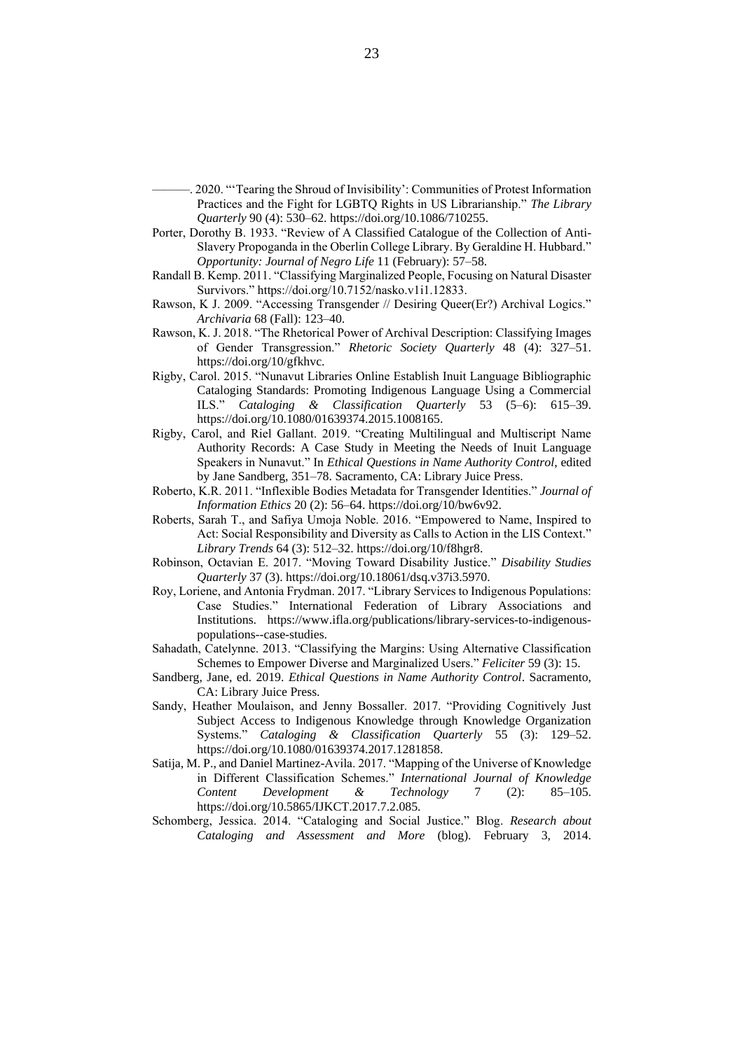———. 2020. "'Tearing the Shroud of Invisibility': Communities of Protest Information Practices and the Fight for LGBTQ Rights in US Librarianship." *The Library Quarterly* 90 (4): 530–62. https://doi.org/10.1086/710255.

- Porter, Dorothy B. 1933. "Review of A Classified Catalogue of the Collection of Anti-Slavery Propoganda in the Oberlin College Library. By Geraldine H. Hubbard." *Opportunity: Journal of Negro Life* 11 (February): 57–58.
- Randall B. Kemp. 2011. "Classifying Marginalized People, Focusing on Natural Disaster Survivors." https://doi.org/10.7152/nasko.v1i1.12833.
- Rawson, K J. 2009. "Accessing Transgender // Desiring Queer(Er?) Archival Logics." *Archivaria* 68 (Fall): 123–40.
- Rawson, K. J. 2018. "The Rhetorical Power of Archival Description: Classifying Images of Gender Transgression." *Rhetoric Society Quarterly* 48 (4): 327–51. https://doi.org/10/gfkhvc.
- Rigby, Carol. 2015. "Nunavut Libraries Online Establish Inuit Language Bibliographic Cataloging Standards: Promoting Indigenous Language Using a Commercial ILS." *Cataloging & Classification Quarterly* 53 (5–6): 615–39. https://doi.org/10.1080/01639374.2015.1008165.
- Rigby, Carol, and Riel Gallant. 2019. "Creating Multilingual and Multiscript Name Authority Records: A Case Study in Meeting the Needs of Inuit Language Speakers in Nunavut." In *Ethical Questions in Name Authority Control*, edited by Jane Sandberg, 351–78. Sacramento, CA: Library Juice Press.
- Roberto, K.R. 2011. "Inflexible Bodies Metadata for Transgender Identities." *Journal of Information Ethics* 20 (2): 56–64. https://doi.org/10/bw6v92.
- Roberts, Sarah T., and Safiya Umoja Noble. 2016. "Empowered to Name, Inspired to Act: Social Responsibility and Diversity as Calls to Action in the LIS Context." *Library Trends* 64 (3): 512–32. https://doi.org/10/f8hgr8.
- Robinson, Octavian E. 2017. "Moving Toward Disability Justice." *Disability Studies Quarterly* 37 (3). https://doi.org/10.18061/dsq.v37i3.5970.
- Roy, Loriene, and Antonia Frydman. 2017. "Library Services to Indigenous Populations: Case Studies." International Federation of Library Associations and Institutions. https://www.ifla.org/publications/library-services-to-indigenouspopulations--case-studies.
- Sahadath, Catelynne. 2013. "Classifying the Margins: Using Alternative Classification Schemes to Empower Diverse and Marginalized Users." *Feliciter* 59 (3): 15.
- Sandberg, Jane, ed. 2019. *Ethical Questions in Name Authority Control*. Sacramento, CA: Library Juice Press.
- Sandy, Heather Moulaison, and Jenny Bossaller. 2017. "Providing Cognitively Just Subject Access to Indigenous Knowledge through Knowledge Organization Systems." *Cataloging & Classification Quarterly* 55 (3): 129–52. https://doi.org/10.1080/01639374.2017.1281858.
- Satija, M. P., and Daniel Martinez-Avila. 2017. "Mapping of the Universe of Knowledge in Different Classification Schemes." *International Journal of Knowledge Content Development & Technology* 7 (2): 85–105. https://doi.org/10.5865/IJKCT.2017.7.2.085.
- Schomberg, Jessica. 2014. "Cataloging and Social Justice." Blog. *Research about Cataloging and Assessment and More* (blog). February 3, 2014.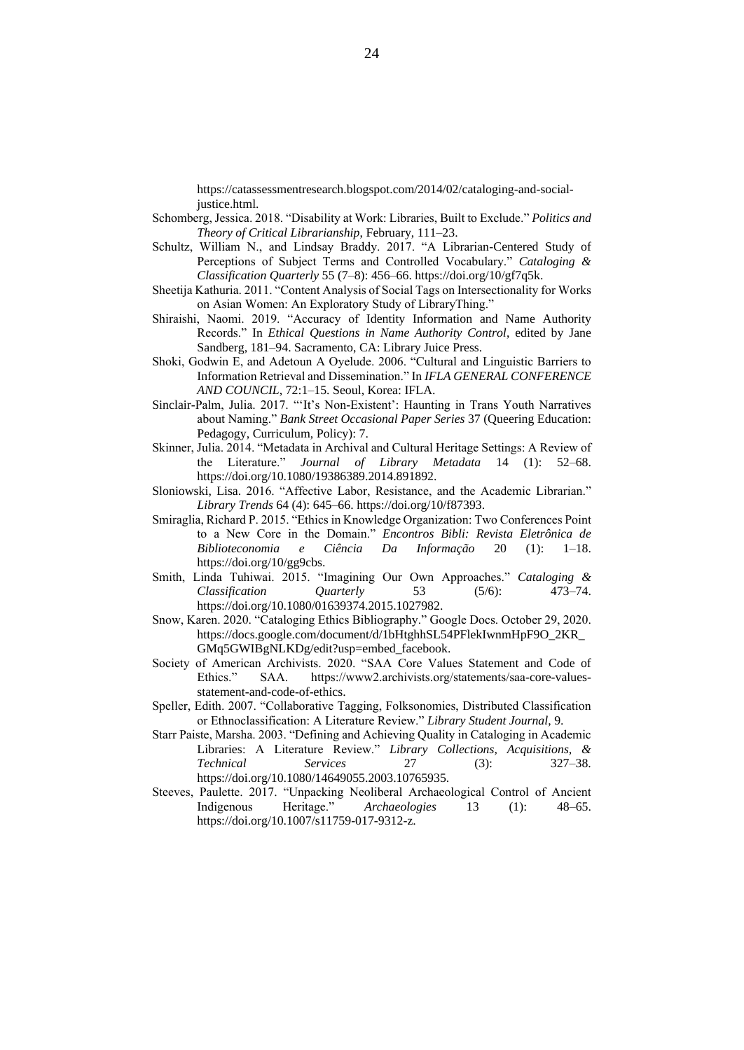https://catassessmentresearch.blogspot.com/2014/02/cataloging-and-socialjustice.html.

- Schomberg, Jessica. 2018. "Disability at Work: Libraries, Built to Exclude." *Politics and Theory of Critical Librarianship*, February, 111–23.
- Schultz, William N., and Lindsay Braddy. 2017. "A Librarian-Centered Study of Perceptions of Subject Terms and Controlled Vocabulary." *Cataloging & Classification Quarterly* 55 (7–8): 456–66. https://doi.org/10/gf7q5k.
- Sheetija Kathuria. 2011. "Content Analysis of Social Tags on Intersectionality for Works on Asian Women: An Exploratory Study of LibraryThing."
- Shiraishi, Naomi. 2019. "Accuracy of Identity Information and Name Authority Records." In *Ethical Questions in Name Authority Control*, edited by Jane Sandberg, 181–94. Sacramento, CA: Library Juice Press.
- Shoki, Godwin E, and Adetoun A Oyelude. 2006. "Cultural and Linguistic Barriers to Information Retrieval and Dissemination." In *IFLA GENERAL CONFERENCE AND COUNCIL*, 72:1–15. Seoul, Korea: IFLA.
- Sinclair-Palm, Julia. 2017. "'It's Non-Existent': Haunting in Trans Youth Narratives about Naming." *Bank Street Occasional Paper Series* 37 (Queering Education: Pedagogy, Curriculum, Policy): 7.
- Skinner, Julia. 2014. "Metadata in Archival and Cultural Heritage Settings: A Review of the Literature." *Journal of Library Metadata* 14 (1): 52–68. https://doi.org/10.1080/19386389.2014.891892.
- Sloniowski, Lisa. 2016. "Affective Labor, Resistance, and the Academic Librarian." *Library Trends* 64 (4): 645–66. https://doi.org/10/f87393.
- Smiraglia, Richard P. 2015. "Ethics in Knowledge Organization: Two Conferences Point to a New Core in the Domain." *Encontros Bibli: Revista Eletrônica de Biblioteconomia e Ciência Da Informação* 20 (1): 1–18. https://doi.org/10/gg9cbs.
- Smith, Linda Tuhiwai. 2015. "Imagining Our Own Approaches." *Cataloging & Classification Quarterly* 53 (5/6): 473–74. https://doi.org/10.1080/01639374.2015.1027982.
- Snow, Karen. 2020. "Cataloging Ethics Bibliography." Google Docs. October 29, 2020. https://docs.google.com/document/d/1bHtghhSL54PFlekIwnmHpF9O\_2KR\_ GMq5GWIBgNLKDg/edit?usp=embed\_facebook.
- Society of American Archivists. 2020. "SAA Core Values Statement and Code of Ethics." SAA. https://www2.archivists.org/statements/saa-core-valuesstatement-and-code-of-ethics.
- Speller, Edith. 2007. "Collaborative Tagging, Folksonomies, Distributed Classification or Ethnoclassification: A Literature Review." *Library Student Journal*, 9.
- Starr Paiste, Marsha. 2003. "Defining and Achieving Quality in Cataloging in Academic Libraries: A Literature Review." *Library Collections, Acquisitions, & Technical Services* 27 (3): 327–38. https://doi.org/10.1080/14649055.2003.10765935.
- Steeves, Paulette. 2017. "Unpacking Neoliberal Archaeological Control of Ancient Indigenous Heritage." *Archaeologies* 13 (1): 48–65. https://doi.org/10.1007/s11759-017-9312-z.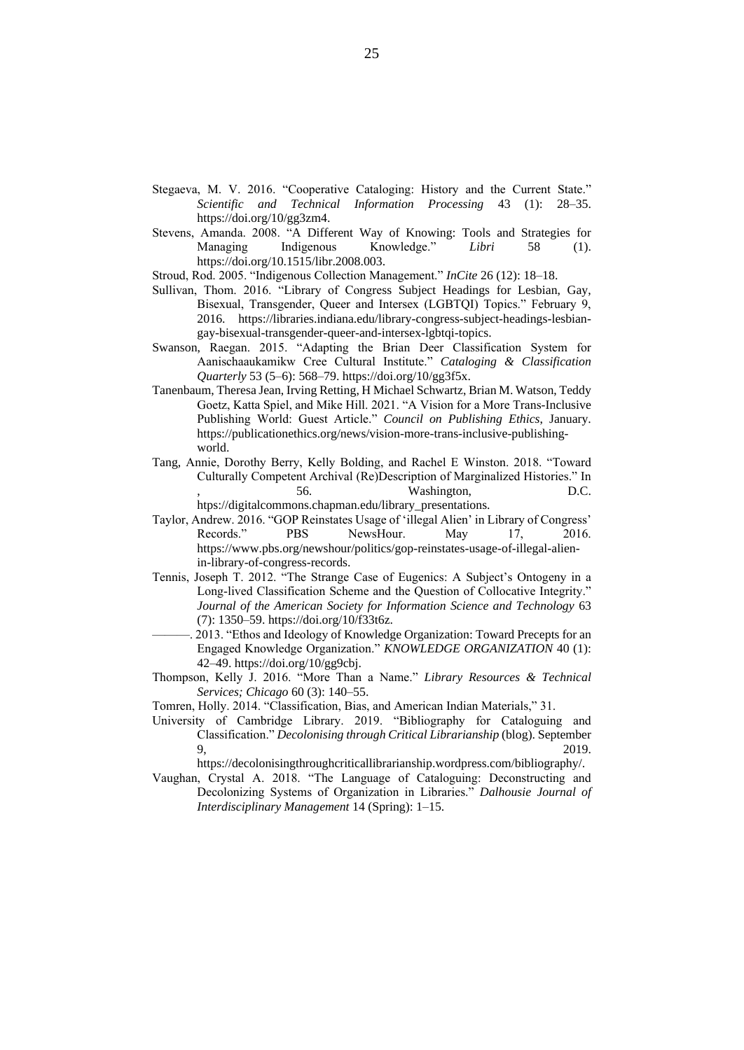- Stegaeva, M. V. 2016. "Cooperative Cataloging: History and the Current State." *Scientific and Technical Information Processing* 43 (1): 28–35. https://doi.org/10/gg3zm4.
- Stevens, Amanda. 2008. "A Different Way of Knowing: Tools and Strategies for Managing Indigenous Knowledge." *Libri* 58 (1). https://doi.org/10.1515/libr.2008.003.

Stroud, Rod. 2005. "Indigenous Collection Management." *InCite* 26 (12): 18–18.

- Sullivan, Thom. 2016. "Library of Congress Subject Headings for Lesbian, Gay, Bisexual, Transgender, Queer and Intersex (LGBTQI) Topics." February 9, 2016. https://libraries.indiana.edu/library-congress-subject-headings-lesbiangay-bisexual-transgender-queer-and-intersex-lgbtqi-topics.
- Swanson, Raegan. 2015. "Adapting the Brian Deer Classification System for Aanischaaukamikw Cree Cultural Institute." *Cataloging & Classification Quarterly* 53 (5–6): 568–79. https://doi.org/10/gg3f5x.
- Tanenbaum, Theresa Jean, Irving Retting, H Michael Schwartz, Brian M. Watson, Teddy Goetz, Katta Spiel, and Mike Hill. 2021. "A Vision for a More Trans-Inclusive Publishing World: Guest Article." *Council on Publishing Ethics*, January. https://publicationethics.org/news/vision-more-trans-inclusive-publishingworld.
- Tang, Annie, Dorothy Berry, Kelly Bolding, and Rachel E Winston. 2018. "Toward Culturally Competent Archival (Re)Description of Marginalized Histories." In , 56. Washington, D.C. htps://digitalcommons.chapman.edu/library\_presentations.
- Taylor, Andrew. 2016. "GOP Reinstates Usage of 'illegal Alien' in Library of Congress' Records." PBS NewsHour. May 17, 2016. https://www.pbs.org/newshour/politics/gop-reinstates-usage-of-illegal-alienin-library-of-congress-records.
- Tennis, Joseph T. 2012. "The Strange Case of Eugenics: A Subject's Ontogeny in a Long‐lived Classification Scheme and the Question of Collocative Integrity." *Journal of the American Society for Information Science and Technology* 63 (7): 1350–59. https://doi.org/10/f33t6z.
- 2013. "Ethos and Ideology of Knowledge Organization: Toward Precepts for an Engaged Knowledge Organization." *KNOWLEDGE ORGANIZATION* 40 (1): 42–49. https://doi.org/10/gg9cbj.
- Thompson, Kelly J. 2016. "More Than a Name." *Library Resources & Technical Services; Chicago* 60 (3): 140–55.

Tomren, Holly. 2014. "Classification, Bias, and American Indian Materials," 31.

University of Cambridge Library. 2019. "Bibliography for Cataloguing and Classification." *Decolonising through Critical Librarianship* (blog). September 9, 2019.

https://decolonisingthroughcriticallibrarianship.wordpress.com/bibliography/.

Vaughan, Crystal A. 2018. "The Language of Cataloguing: Deconstructing and Decolonizing Systems of Organization in Libraries." *Dalhousie Journal of Interdisciplinary Management* 14 (Spring): 1–15.